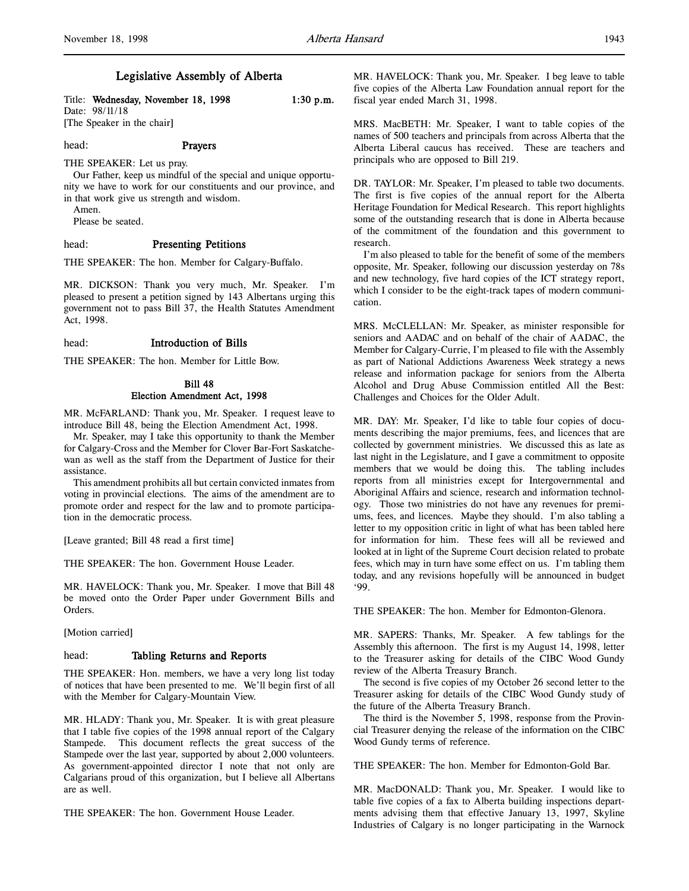## Legislative Assembly of Alberta

Title: Wednesday, November 18, 1998 1:30 p.m. Date: 98/11/18 [The Speaker in the chair]

head: **Prayers** 

THE SPEAKER: Let us pray.

Our Father, keep us mindful of the special and unique opportunity we have to work for our constituents and our province, and in that work give us strength and wisdom.

Amen. Please be seated.

## head: Presenting Petitions

THE SPEAKER: The hon. Member for Calgary-Buffalo.

MR. DICKSON: Thank you very much, Mr. Speaker. I'm pleased to present a petition signed by 143 Albertans urging this government not to pass Bill 37, the Health Statutes Amendment Act, 1998.

#### head: Introduction of Bills

THE SPEAKER: The hon. Member for Little Bow.

## Bill 48 Election Amendment Act, 1998

MR. McFARLAND: Thank you, Mr. Speaker. I request leave to introduce Bill 48, being the Election Amendment Act, 1998.

Mr. Speaker, may I take this opportunity to thank the Member for Calgary-Cross and the Member for Clover Bar-Fort Saskatchewan as well as the staff from the Department of Justice for their assistance.

This amendment prohibits all but certain convicted inmates from voting in provincial elections. The aims of the amendment are to promote order and respect for the law and to promote participation in the democratic process.

[Leave granted; Bill 48 read a first time]

THE SPEAKER: The hon. Government House Leader.

MR. HAVELOCK: Thank you, Mr. Speaker. I move that Bill 48 be moved onto the Order Paper under Government Bills and Orders.

[Motion carried]

## head: Tabling Returns and Reports

THE SPEAKER: Hon. members, we have a very long list today of notices that have been presented to me. We'll begin first of all with the Member for Calgary-Mountain View.

MR. HLADY: Thank you, Mr. Speaker. It is with great pleasure that I table five copies of the 1998 annual report of the Calgary Stampede. This document reflects the great success of the Stampede over the last year, supported by about 2,000 volunteers. As government-appointed director I note that not only are Calgarians proud of this organization, but I believe all Albertans are as well.

THE SPEAKER: The hon. Government House Leader.

MR. HAVELOCK: Thank you, Mr. Speaker. I beg leave to table five copies of the Alberta Law Foundation annual report for the fiscal year ended March 31, 1998.

MRS. MacBETH: Mr. Speaker, I want to table copies of the names of 500 teachers and principals from across Alberta that the Alberta Liberal caucus has received. These are teachers and principals who are opposed to Bill 219.

DR. TAYLOR: Mr. Speaker, I'm pleased to table two documents. The first is five copies of the annual report for the Alberta Heritage Foundation for Medical Research. This report highlights some of the outstanding research that is done in Alberta because of the commitment of the foundation and this government to research.

I'm also pleased to table for the benefit of some of the members opposite, Mr. Speaker, following our discussion yesterday on 78s and new technology, five hard copies of the ICT strategy report, which I consider to be the eight-track tapes of modern communication.

MRS. McCLELLAN: Mr. Speaker, as minister responsible for seniors and AADAC and on behalf of the chair of AADAC, the Member for Calgary-Currie, I'm pleased to file with the Assembly as part of National Addictions Awareness Week strategy a news release and information package for seniors from the Alberta Alcohol and Drug Abuse Commission entitled All the Best: Challenges and Choices for the Older Adult.

MR. DAY: Mr. Speaker, I'd like to table four copies of documents describing the major premiums, fees, and licences that are collected by government ministries. We discussed this as late as last night in the Legislature, and I gave a commitment to opposite members that we would be doing this. The tabling includes reports from all ministries except for Intergovernmental and Aboriginal Affairs and science, research and information technology. Those two ministries do not have any revenues for premiums, fees, and licences. Maybe they should. I'm also tabling a letter to my opposition critic in light of what has been tabled here for information for him. These fees will all be reviewed and looked at in light of the Supreme Court decision related to probate fees, which may in turn have some effect on us. I'm tabling them today, and any revisions hopefully will be announced in budget '99.

THE SPEAKER: The hon. Member for Edmonton-Glenora.

MR. SAPERS: Thanks, Mr. Speaker. A few tablings for the Assembly this afternoon. The first is my August 14, 1998, letter to the Treasurer asking for details of the CIBC Wood Gundy review of the Alberta Treasury Branch.

The second is five copies of my October 26 second letter to the Treasurer asking for details of the CIBC Wood Gundy study of the future of the Alberta Treasury Branch.

The third is the November 5, 1998, response from the Provincial Treasurer denying the release of the information on the CIBC Wood Gundy terms of reference.

THE SPEAKER: The hon. Member for Edmonton-Gold Bar.

MR. MacDONALD: Thank you, Mr. Speaker. I would like to table five copies of a fax to Alberta building inspections departments advising them that effective January 13, 1997, Skyline Industries of Calgary is no longer participating in the Warnock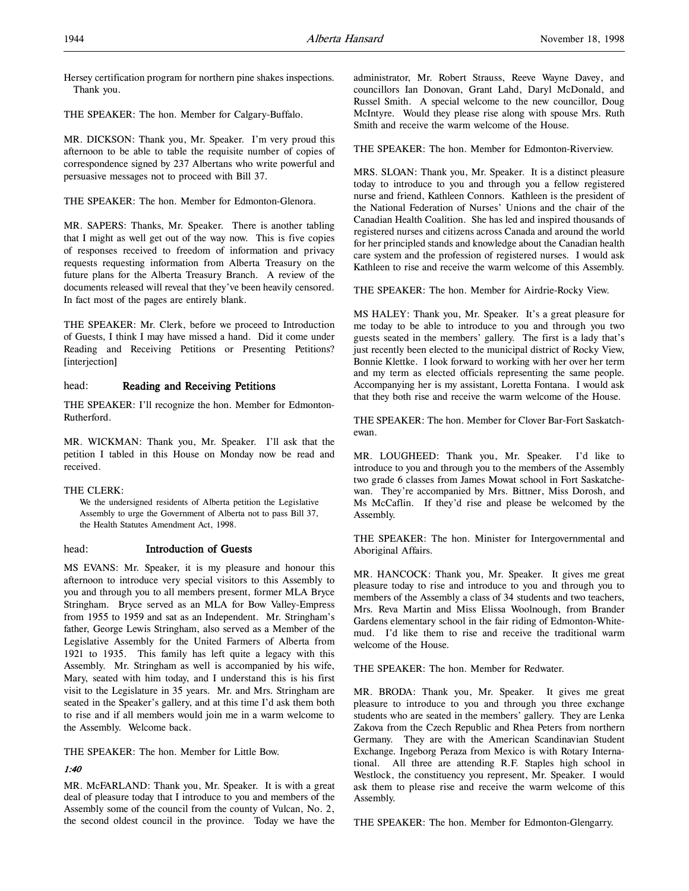Hersey certification program for northern pine shakes inspections. Thank you.

THE SPEAKER: The hon. Member for Calgary-Buffalo.

MR. DICKSON: Thank you, Mr. Speaker. I'm very proud this afternoon to be able to table the requisite number of copies of correspondence signed by 237 Albertans who write powerful and persuasive messages not to proceed with Bill 37.

THE SPEAKER: The hon. Member for Edmonton-Glenora.

MR. SAPERS: Thanks, Mr. Speaker. There is another tabling that I might as well get out of the way now. This is five copies of responses received to freedom of information and privacy requests requesting information from Alberta Treasury on the future plans for the Alberta Treasury Branch. A review of the documents released will reveal that they've been heavily censored. In fact most of the pages are entirely blank.

THE SPEAKER: Mr. Clerk, before we proceed to Introduction of Guests, I think I may have missed a hand. Did it come under Reading and Receiving Petitions or Presenting Petitions? [interjection]

## head: Reading and Receiving Petitions

THE SPEAKER: I'll recognize the hon. Member for Edmonton-Rutherford.

MR. WICKMAN: Thank you, Mr. Speaker. I'll ask that the petition I tabled in this House on Monday now be read and received.

## THE CLERK:

We the undersigned residents of Alberta petition the Legislative Assembly to urge the Government of Alberta not to pass Bill 37, the Health Statutes Amendment Act, 1998.

## head: Introduction of Guests

MS EVANS: Mr. Speaker, it is my pleasure and honour this afternoon to introduce very special visitors to this Assembly to you and through you to all members present, former MLA Bryce Stringham. Bryce served as an MLA for Bow Valley-Empress from 1955 to 1959 and sat as an Independent. Mr. Stringham's father, George Lewis Stringham, also served as a Member of the Legislative Assembly for the United Farmers of Alberta from 1921 to 1935. This family has left quite a legacy with this Assembly. Mr. Stringham as well is accompanied by his wife, Mary, seated with him today, and I understand this is his first visit to the Legislature in 35 years. Mr. and Mrs. Stringham are seated in the Speaker's gallery, and at this time I'd ask them both to rise and if all members would join me in a warm welcome to the Assembly. Welcome back.

THE SPEAKER: The hon. Member for Little Bow.

## 1:40

MR. McFARLAND: Thank you, Mr. Speaker. It is with a great deal of pleasure today that I introduce to you and members of the Assembly some of the council from the county of Vulcan, No. 2, the second oldest council in the province. Today we have the

administrator, Mr. Robert Strauss, Reeve Wayne Davey, and councillors Ian Donovan, Grant Lahd, Daryl McDonald, and Russel Smith. A special welcome to the new councillor, Doug McIntyre. Would they please rise along with spouse Mrs. Ruth Smith and receive the warm welcome of the House.

THE SPEAKER: The hon. Member for Edmonton-Riverview.

MRS. SLOAN: Thank you, Mr. Speaker. It is a distinct pleasure today to introduce to you and through you a fellow registered nurse and friend, Kathleen Connors. Kathleen is the president of the National Federation of Nurses' Unions and the chair of the Canadian Health Coalition. She has led and inspired thousands of registered nurses and citizens across Canada and around the world for her principled stands and knowledge about the Canadian health care system and the profession of registered nurses. I would ask Kathleen to rise and receive the warm welcome of this Assembly.

THE SPEAKER: The hon. Member for Airdrie-Rocky View.

MS HALEY: Thank you, Mr. Speaker. It's a great pleasure for me today to be able to introduce to you and through you two guests seated in the members' gallery. The first is a lady that's just recently been elected to the municipal district of Rocky View, Bonnie Klettke. I look forward to working with her over her term and my term as elected officials representing the same people. Accompanying her is my assistant, Loretta Fontana. I would ask that they both rise and receive the warm welcome of the House.

THE SPEAKER: The hon. Member for Clover Bar-Fort Saskatchewan.

MR. LOUGHEED: Thank you, Mr. Speaker. I'd like to introduce to you and through you to the members of the Assembly two grade 6 classes from James Mowat school in Fort Saskatchewan. They're accompanied by Mrs. Bittner, Miss Dorosh, and Ms McCaflin. If they'd rise and please be welcomed by the Assembly.

THE SPEAKER: The hon. Minister for Intergovernmental and Aboriginal Affairs.

MR. HANCOCK: Thank you, Mr. Speaker. It gives me great pleasure today to rise and introduce to you and through you to members of the Assembly a class of 34 students and two teachers, Mrs. Reva Martin and Miss Elissa Woolnough, from Brander Gardens elementary school in the fair riding of Edmonton-Whitemud. I'd like them to rise and receive the traditional warm welcome of the House.

THE SPEAKER: The hon. Member for Redwater.

MR. BRODA: Thank you, Mr. Speaker. It gives me great pleasure to introduce to you and through you three exchange students who are seated in the members' gallery. They are Lenka Zakova from the Czech Republic and Rhea Peters from northern Germany. They are with the American Scandinavian Student Exchange. Ingeborg Peraza from Mexico is with Rotary International. All three are attending R.F. Staples high school in Westlock, the constituency you represent, Mr. Speaker. I would ask them to please rise and receive the warm welcome of this Assembly.

THE SPEAKER: The hon. Member for Edmonton-Glengarry.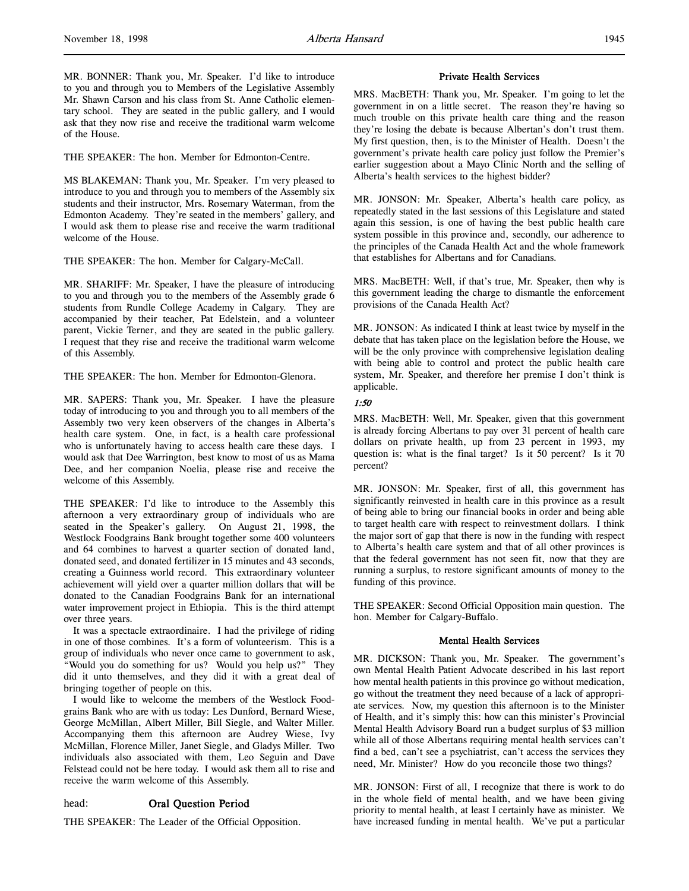MR. BONNER: Thank you, Mr. Speaker. I'd like to introduce to you and through you to Members of the Legislative Assembly Mr. Shawn Carson and his class from St. Anne Catholic elementary school. They are seated in the public gallery, and I would ask that they now rise and receive the traditional warm welcome of the House.

THE SPEAKER: The hon. Member for Edmonton-Centre.

MS BLAKEMAN: Thank you, Mr. Speaker. I'm very pleased to introduce to you and through you to members of the Assembly six students and their instructor, Mrs. Rosemary Waterman, from the Edmonton Academy. They're seated in the members' gallery, and I would ask them to please rise and receive the warm traditional welcome of the House.

THE SPEAKER: The hon. Member for Calgary-McCall.

MR. SHARIFF: Mr. Speaker, I have the pleasure of introducing to you and through you to the members of the Assembly grade 6 students from Rundle College Academy in Calgary. They are accompanied by their teacher, Pat Edelstein, and a volunteer parent, Vickie Terner, and they are seated in the public gallery. I request that they rise and receive the traditional warm welcome of this Assembly.

THE SPEAKER: The hon. Member for Edmonton-Glenora.

MR. SAPERS: Thank you, Mr. Speaker. I have the pleasure today of introducing to you and through you to all members of the Assembly two very keen observers of the changes in Alberta's health care system. One, in fact, is a health care professional who is unfortunately having to access health care these days. I would ask that Dee Warrington, best know to most of us as Mama Dee, and her companion Noelia, please rise and receive the welcome of this Assembly.

THE SPEAKER: I'd like to introduce to the Assembly this afternoon a very extraordinary group of individuals who are seated in the Speaker's gallery. On August 21, 1998, the Westlock Foodgrains Bank brought together some 400 volunteers and 64 combines to harvest a quarter section of donated land, donated seed, and donated fertilizer in 15 minutes and 43 seconds, creating a Guinness world record. This extraordinary volunteer achievement will yield over a quarter million dollars that will be donated to the Canadian Foodgrains Bank for an international water improvement project in Ethiopia. This is the third attempt over three years.

It was a spectacle extraordinaire. I had the privilege of riding in one of those combines. It's a form of volunteerism. This is a group of individuals who never once came to government to ask, "Would you do something for us? Would you help us?" They did it unto themselves, and they did it with a great deal of bringing together of people on this.

I would like to welcome the members of the Westlock Foodgrains Bank who are with us today: Les Dunford, Bernard Wiese, George McMillan, Albert Miller, Bill Siegle, and Walter Miller. Accompanying them this afternoon are Audrey Wiese, Ivy McMillan, Florence Miller, Janet Siegle, and Gladys Miller. Two individuals also associated with them, Leo Seguin and Dave Felstead could not be here today. I would ask them all to rise and receive the warm welcome of this Assembly.

## head: Oral Question Period

THE SPEAKER: The Leader of the Official Opposition.

#### Private Health Services

MRS. MacBETH: Thank you, Mr. Speaker. I'm going to let the government in on a little secret. The reason they're having so much trouble on this private health care thing and the reason they're losing the debate is because Albertan's don't trust them. My first question, then, is to the Minister of Health. Doesn't the government's private health care policy just follow the Premier's earlier suggestion about a Mayo Clinic North and the selling of Alberta's health services to the highest bidder?

MR. JONSON: Mr. Speaker, Alberta's health care policy, as repeatedly stated in the last sessions of this Legislature and stated again this session, is one of having the best public health care system possible in this province and, secondly, our adherence to the principles of the Canada Health Act and the whole framework that establishes for Albertans and for Canadians.

MRS. MacBETH: Well, if that's true, Mr. Speaker, then why is this government leading the charge to dismantle the enforcement provisions of the Canada Health Act?

MR. JONSON: As indicated I think at least twice by myself in the debate that has taken place on the legislation before the House, we will be the only province with comprehensive legislation dealing with being able to control and protect the public health care system, Mr. Speaker, and therefore her premise I don't think is applicable.

## 1:50

MRS. MacBETH: Well, Mr. Speaker, given that this government is already forcing Albertans to pay over 31 percent of health care dollars on private health, up from 23 percent in 1993, my question is: what is the final target? Is it 50 percent? Is it 70 percent?

MR. JONSON: Mr. Speaker, first of all, this government has significantly reinvested in health care in this province as a result of being able to bring our financial books in order and being able to target health care with respect to reinvestment dollars. I think the major sort of gap that there is now in the funding with respect to Alberta's health care system and that of all other provinces is that the federal government has not seen fit, now that they are running a surplus, to restore significant amounts of money to the funding of this province.

THE SPEAKER: Second Official Opposition main question. The hon. Member for Calgary-Buffalo.

## Mental Health Services

MR. DICKSON: Thank you, Mr. Speaker. The government's own Mental Health Patient Advocate described in his last report how mental health patients in this province go without medication, go without the treatment they need because of a lack of appropriate services. Now, my question this afternoon is to the Minister of Health, and it's simply this: how can this minister's Provincial Mental Health Advisory Board run a budget surplus of \$3 million while all of those Albertans requiring mental health services can't find a bed, can't see a psychiatrist, can't access the services they need, Mr. Minister? How do you reconcile those two things?

MR. JONSON: First of all, I recognize that there is work to do in the whole field of mental health, and we have been giving priority to mental health, at least I certainly have as minister. We have increased funding in mental health. We've put a particular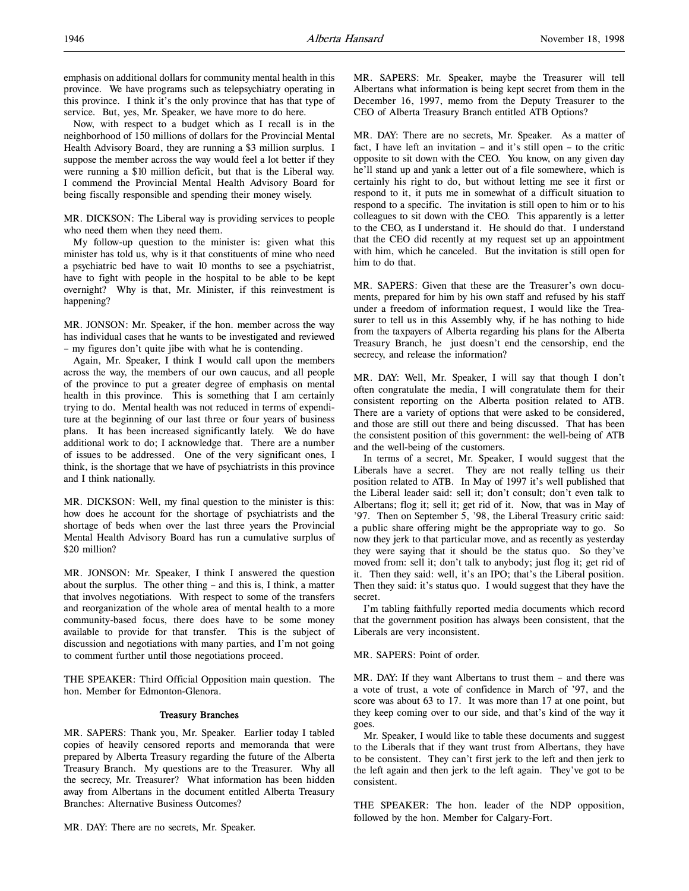Now, with respect to a budget which as I recall is in the neighborhood of 150 millions of dollars for the Provincial Mental Health Advisory Board, they are running a \$3 million surplus. I suppose the member across the way would feel a lot better if they were running a \$10 million deficit, but that is the Liberal way. I commend the Provincial Mental Health Advisory Board for being fiscally responsible and spending their money wisely.

MR. DICKSON: The Liberal way is providing services to people who need them when they need them.

My follow-up question to the minister is: given what this minister has told us, why is it that constituents of mine who need a psychiatric bed have to wait 10 months to see a psychiatrist, have to fight with people in the hospital to be able to be kept overnight? Why is that, Mr. Minister, if this reinvestment is happening?

MR. JONSON: Mr. Speaker, if the hon. member across the way has individual cases that he wants to be investigated and reviewed – my figures don't quite jibe with what he is contending.

Again, Mr. Speaker, I think I would call upon the members across the way, the members of our own caucus, and all people of the province to put a greater degree of emphasis on mental health in this province. This is something that I am certainly trying to do. Mental health was not reduced in terms of expenditure at the beginning of our last three or four years of business plans. It has been increased significantly lately. We do have additional work to do; I acknowledge that. There are a number of issues to be addressed. One of the very significant ones, I think, is the shortage that we have of psychiatrists in this province and I think nationally.

MR. DICKSON: Well, my final question to the minister is this: how does he account for the shortage of psychiatrists and the shortage of beds when over the last three years the Provincial Mental Health Advisory Board has run a cumulative surplus of \$20 million?

MR. JONSON: Mr. Speaker, I think I answered the question about the surplus. The other thing – and this is, I think, a matter that involves negotiations. With respect to some of the transfers and reorganization of the whole area of mental health to a more community-based focus, there does have to be some money available to provide for that transfer. This is the subject of discussion and negotiations with many parties, and I'm not going to comment further until those negotiations proceed.

THE SPEAKER: Third Official Opposition main question. The hon. Member for Edmonton-Glenora.

#### Treasury Branches

MR. SAPERS: Thank you, Mr. Speaker. Earlier today I tabled copies of heavily censored reports and memoranda that were prepared by Alberta Treasury regarding the future of the Alberta Treasury Branch. My questions are to the Treasurer. Why all the secrecy, Mr. Treasurer? What information has been hidden away from Albertans in the document entitled Alberta Treasury Branches: Alternative Business Outcomes?

MR. DAY: There are no secrets, Mr. Speaker.

MR. SAPERS: Mr. Speaker, maybe the Treasurer will tell Albertans what information is being kept secret from them in the December 16, 1997, memo from the Deputy Treasurer to the CEO of Alberta Treasury Branch entitled ATB Options?

MR. DAY: There are no secrets, Mr. Speaker. As a matter of fact, I have left an invitation – and it's still open – to the critic opposite to sit down with the CEO. You know, on any given day he'll stand up and yank a letter out of a file somewhere, which is certainly his right to do, but without letting me see it first or respond to it, it puts me in somewhat of a difficult situation to respond to a specific. The invitation is still open to him or to his colleagues to sit down with the CEO. This apparently is a letter to the CEO, as I understand it. He should do that. I understand that the CEO did recently at my request set up an appointment with him, which he canceled. But the invitation is still open for him to do that.

MR. SAPERS: Given that these are the Treasurer's own documents, prepared for him by his own staff and refused by his staff under a freedom of information request, I would like the Treasurer to tell us in this Assembly why, if he has nothing to hide from the taxpayers of Alberta regarding his plans for the Alberta Treasury Branch, he just doesn't end the censorship, end the secrecy, and release the information?

MR. DAY: Well, Mr. Speaker, I will say that though I don't often congratulate the media, I will congratulate them for their consistent reporting on the Alberta position related to ATB. There are a variety of options that were asked to be considered, and those are still out there and being discussed. That has been the consistent position of this government: the well-being of ATB and the well-being of the customers.

In terms of a secret, Mr. Speaker, I would suggest that the Liberals have a secret. They are not really telling us their position related to ATB. In May of 1997 it's well published that the Liberal leader said: sell it; don't consult; don't even talk to Albertans; flog it; sell it; get rid of it. Now, that was in May of '97. Then on September 5, '98, the Liberal Treasury critic said: a public share offering might be the appropriate way to go. So now they jerk to that particular move, and as recently as yesterday they were saying that it should be the status quo. So they've moved from: sell it; don't talk to anybody; just flog it; get rid of it. Then they said: well, it's an IPO; that's the Liberal position. Then they said: it's status quo. I would suggest that they have the secret.

I'm tabling faithfully reported media documents which record that the government position has always been consistent, that the Liberals are very inconsistent.

MR. SAPERS: Point of order.

MR. DAY: If they want Albertans to trust them – and there was a vote of trust, a vote of confidence in March of '97, and the score was about 63 to 17. It was more than 17 at one point, but they keep coming over to our side, and that's kind of the way it goes.

Mr. Speaker, I would like to table these documents and suggest to the Liberals that if they want trust from Albertans, they have to be consistent. They can't first jerk to the left and then jerk to the left again and then jerk to the left again. They've got to be consistent.

THE SPEAKER: The hon. leader of the NDP opposition, followed by the hon. Member for Calgary-Fort.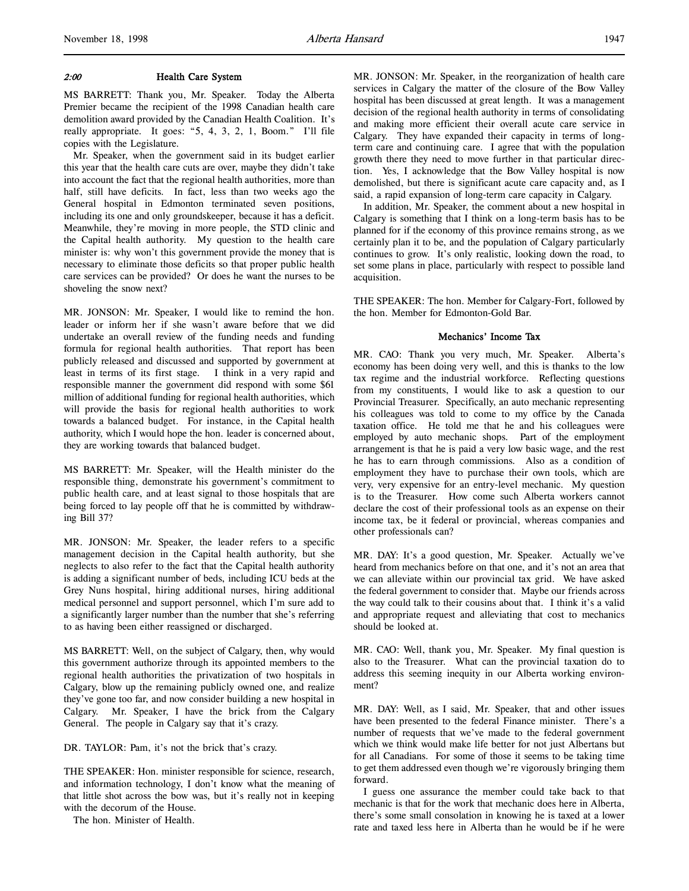#### 2:00 Health Care System

MS BARRETT: Thank you, Mr. Speaker. Today the Alberta Premier became the recipient of the 1998 Canadian health care demolition award provided by the Canadian Health Coalition. It's really appropriate. It goes: "5, 4, 3, 2, 1, Boom." I'll file copies with the Legislature.

Mr. Speaker, when the government said in its budget earlier this year that the health care cuts are over, maybe they didn't take into account the fact that the regional health authorities, more than half, still have deficits. In fact, less than two weeks ago the General hospital in Edmonton terminated seven positions, including its one and only groundskeeper, because it has a deficit. Meanwhile, they're moving in more people, the STD clinic and the Capital health authority. My question to the health care minister is: why won't this government provide the money that is necessary to eliminate those deficits so that proper public health care services can be provided? Or does he want the nurses to be shoveling the snow next?

MR. JONSON: Mr. Speaker, I would like to remind the hon. leader or inform her if she wasn't aware before that we did undertake an overall review of the funding needs and funding formula for regional health authorities. That report has been publicly released and discussed and supported by government at least in terms of its first stage. I think in a very rapid and responsible manner the government did respond with some \$61 million of additional funding for regional health authorities, which will provide the basis for regional health authorities to work towards a balanced budget. For instance, in the Capital health authority, which I would hope the hon. leader is concerned about, they are working towards that balanced budget.

MS BARRETT: Mr. Speaker, will the Health minister do the responsible thing, demonstrate his government's commitment to public health care, and at least signal to those hospitals that are being forced to lay people off that he is committed by withdrawing Bill 37?

MR. JONSON: Mr. Speaker, the leader refers to a specific management decision in the Capital health authority, but she neglects to also refer to the fact that the Capital health authority is adding a significant number of beds, including ICU beds at the Grey Nuns hospital, hiring additional nurses, hiring additional medical personnel and support personnel, which I'm sure add to a significantly larger number than the number that she's referring to as having been either reassigned or discharged.

MS BARRETT: Well, on the subject of Calgary, then, why would this government authorize through its appointed members to the regional health authorities the privatization of two hospitals in Calgary, blow up the remaining publicly owned one, and realize they've gone too far, and now consider building a new hospital in Calgary. Mr. Speaker, I have the brick from the Calgary General. The people in Calgary say that it's crazy.

DR. TAYLOR: Pam, it's not the brick that's crazy.

THE SPEAKER: Hon. minister responsible for science, research, and information technology, I don't know what the meaning of that little shot across the bow was, but it's really not in keeping with the decorum of the House.

The hon. Minister of Health.

MR. JONSON: Mr. Speaker, in the reorganization of health care services in Calgary the matter of the closure of the Bow Valley hospital has been discussed at great length. It was a management decision of the regional health authority in terms of consolidating and making more efficient their overall acute care service in Calgary. They have expanded their capacity in terms of longterm care and continuing care. I agree that with the population growth there they need to move further in that particular direction. Yes, I acknowledge that the Bow Valley hospital is now demolished, but there is significant acute care capacity and, as I said, a rapid expansion of long-term care capacity in Calgary.

In addition, Mr. Speaker, the comment about a new hospital in Calgary is something that I think on a long-term basis has to be planned for if the economy of this province remains strong, as we certainly plan it to be, and the population of Calgary particularly continues to grow. It's only realistic, looking down the road, to set some plans in place, particularly with respect to possible land acquisition.

THE SPEAKER: The hon. Member for Calgary-Fort, followed by the hon. Member for Edmonton-Gold Bar.

## Mechanics' Income Tax

MR. CAO: Thank you very much, Mr. Speaker. Alberta's economy has been doing very well, and this is thanks to the low tax regime and the industrial workforce. Reflecting questions from my constituents, I would like to ask a question to our Provincial Treasurer. Specifically, an auto mechanic representing his colleagues was told to come to my office by the Canada taxation office. He told me that he and his colleagues were employed by auto mechanic shops. Part of the employment arrangement is that he is paid a very low basic wage, and the rest he has to earn through commissions. Also as a condition of employment they have to purchase their own tools, which are very, very expensive for an entry-level mechanic. My question is to the Treasurer. How come such Alberta workers cannot declare the cost of their professional tools as an expense on their income tax, be it federal or provincial, whereas companies and other professionals can?

MR. DAY: It's a good question, Mr. Speaker. Actually we've heard from mechanics before on that one, and it's not an area that we can alleviate within our provincial tax grid. We have asked the federal government to consider that. Maybe our friends across the way could talk to their cousins about that. I think it's a valid and appropriate request and alleviating that cost to mechanics should be looked at.

MR. CAO: Well, thank you, Mr. Speaker. My final question is also to the Treasurer. What can the provincial taxation do to address this seeming inequity in our Alberta working environment?

MR. DAY: Well, as I said, Mr. Speaker, that and other issues have been presented to the federal Finance minister. There's a number of requests that we've made to the federal government which we think would make life better for not just Albertans but for all Canadians. For some of those it seems to be taking time to get them addressed even though we're vigorously bringing them forward.

I guess one assurance the member could take back to that mechanic is that for the work that mechanic does here in Alberta, there's some small consolation in knowing he is taxed at a lower rate and taxed less here in Alberta than he would be if he were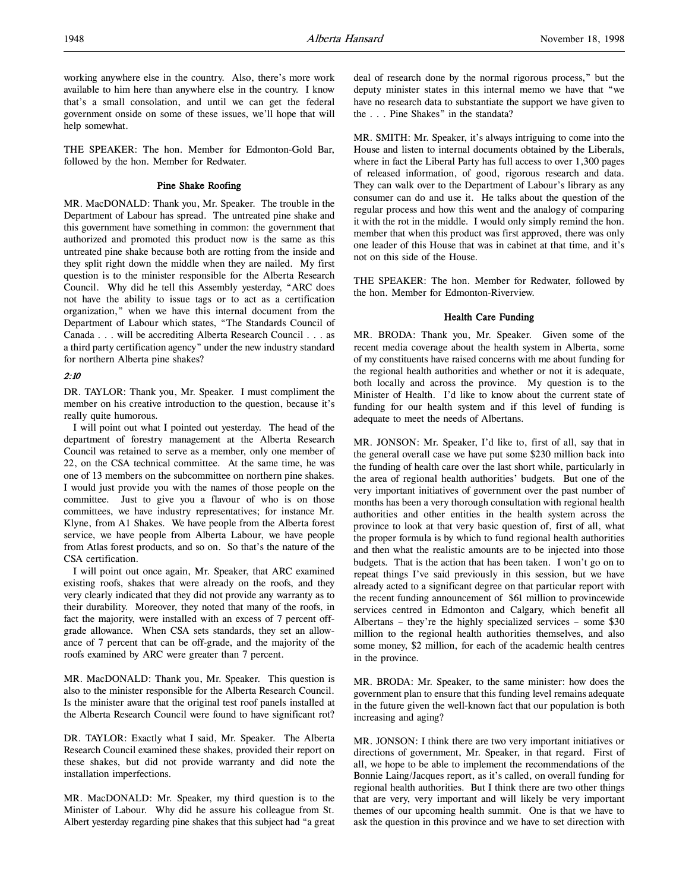working anywhere else in the country. Also, there's more work available to him here than anywhere else in the country. I know that's a small consolation, and until we can get the federal government onside on some of these issues, we'll hope that will help somewhat.

THE SPEAKER: The hon. Member for Edmonton-Gold Bar, followed by the hon. Member for Redwater.

## Pine Shake Roofing

MR. MacDONALD: Thank you, Mr. Speaker. The trouble in the Department of Labour has spread. The untreated pine shake and this government have something in common: the government that authorized and promoted this product now is the same as this untreated pine shake because both are rotting from the inside and they split right down the middle when they are nailed. My first question is to the minister responsible for the Alberta Research Council. Why did he tell this Assembly yesterday, "ARC does not have the ability to issue tags or to act as a certification organization," when we have this internal document from the Department of Labour which states, "The Standards Council of Canada . . . will be accrediting Alberta Research Council . . . as a third party certification agency" under the new industry standard for northern Alberta pine shakes?

## 2:10

DR. TAYLOR: Thank you, Mr. Speaker. I must compliment the member on his creative introduction to the question, because it's really quite humorous.

I will point out what I pointed out yesterday. The head of the department of forestry management at the Alberta Research Council was retained to serve as a member, only one member of 22, on the CSA technical committee. At the same time, he was one of 13 members on the subcommittee on northern pine shakes. I would just provide you with the names of those people on the committee. Just to give you a flavour of who is on those committees, we have industry representatives; for instance Mr. Klyne, from A1 Shakes. We have people from the Alberta forest service, we have people from Alberta Labour, we have people from Atlas forest products, and so on. So that's the nature of the CSA certification.

I will point out once again, Mr. Speaker, that ARC examined existing roofs, shakes that were already on the roofs, and they very clearly indicated that they did not provide any warranty as to their durability. Moreover, they noted that many of the roofs, in fact the majority, were installed with an excess of 7 percent offgrade allowance. When CSA sets standards, they set an allowance of 7 percent that can be off-grade, and the majority of the roofs examined by ARC were greater than 7 percent.

MR. MacDONALD: Thank you, Mr. Speaker. This question is also to the minister responsible for the Alberta Research Council. Is the minister aware that the original test roof panels installed at the Alberta Research Council were found to have significant rot?

DR. TAYLOR: Exactly what I said, Mr. Speaker. The Alberta Research Council examined these shakes, provided their report on these shakes, but did not provide warranty and did note the installation imperfections.

MR. MacDONALD: Mr. Speaker, my third question is to the Minister of Labour. Why did he assure his colleague from St. Albert yesterday regarding pine shakes that this subject had "a great deal of research done by the normal rigorous process," but the deputy minister states in this internal memo we have that "we have no research data to substantiate the support we have given to the . . . Pine Shakes" in the standata?

MR. SMITH: Mr. Speaker, it's always intriguing to come into the House and listen to internal documents obtained by the Liberals, where in fact the Liberal Party has full access to over 1,300 pages of released information, of good, rigorous research and data. They can walk over to the Department of Labour's library as any consumer can do and use it. He talks about the question of the regular process and how this went and the analogy of comparing it with the rot in the middle. I would only simply remind the hon. member that when this product was first approved, there was only one leader of this House that was in cabinet at that time, and it's not on this side of the House.

THE SPEAKER: The hon. Member for Redwater, followed by the hon. Member for Edmonton-Riverview.

## Health Care Funding

MR. BRODA: Thank you, Mr. Speaker. Given some of the recent media coverage about the health system in Alberta, some of my constituents have raised concerns with me about funding for the regional health authorities and whether or not it is adequate, both locally and across the province. My question is to the Minister of Health. I'd like to know about the current state of funding for our health system and if this level of funding is adequate to meet the needs of Albertans.

MR. JONSON: Mr. Speaker, I'd like to, first of all, say that in the general overall case we have put some \$230 million back into the funding of health care over the last short while, particularly in the area of regional health authorities' budgets. But one of the very important initiatives of government over the past number of months has been a very thorough consultation with regional health authorities and other entities in the health system across the province to look at that very basic question of, first of all, what the proper formula is by which to fund regional health authorities and then what the realistic amounts are to be injected into those budgets. That is the action that has been taken. I won't go on to repeat things I've said previously in this session, but we have already acted to a significant degree on that particular report with the recent funding announcement of \$61 million to provincewide services centred in Edmonton and Calgary, which benefit all Albertans – they're the highly specialized services – some \$30 million to the regional health authorities themselves, and also some money, \$2 million, for each of the academic health centres in the province.

MR. BRODA: Mr. Speaker, to the same minister: how does the government plan to ensure that this funding level remains adequate in the future given the well-known fact that our population is both increasing and aging?

MR. JONSON: I think there are two very important initiatives or directions of government, Mr. Speaker, in that regard. First of all, we hope to be able to implement the recommendations of the Bonnie Laing/Jacques report, as it's called, on overall funding for regional health authorities. But I think there are two other things that are very, very important and will likely be very important themes of our upcoming health summit. One is that we have to ask the question in this province and we have to set direction with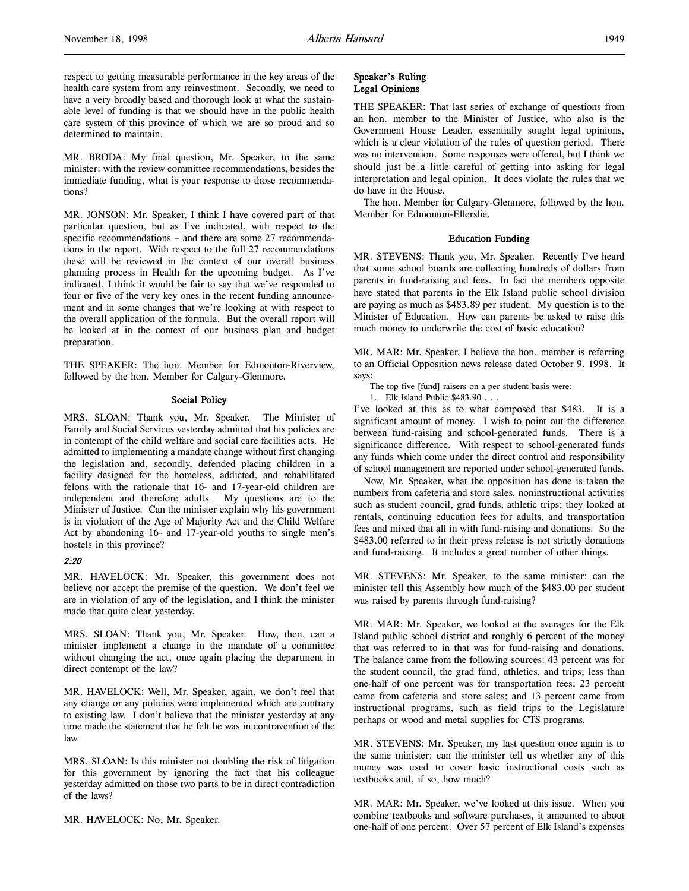respect to getting measurable performance in the key areas of the health care system from any reinvestment. Secondly, we need to have a very broadly based and thorough look at what the sustainable level of funding is that we should have in the public health care system of this province of which we are so proud and so determined to maintain.

MR. BRODA: My final question, Mr. Speaker, to the same minister: with the review committee recommendations, besides the immediate funding, what is your response to those recommendations?

MR. JONSON: Mr. Speaker, I think I have covered part of that particular question, but as I've indicated, with respect to the specific recommendations – and there are some 27 recommendations in the report. With respect to the full 27 recommendations these will be reviewed in the context of our overall business planning process in Health for the upcoming budget. As I've indicated, I think it would be fair to say that we've responded to four or five of the very key ones in the recent funding announcement and in some changes that we're looking at with respect to the overall application of the formula. But the overall report will be looked at in the context of our business plan and budget preparation.

THE SPEAKER: The hon. Member for Edmonton-Riverview, followed by the hon. Member for Calgary-Glenmore.

#### Social Policy

MRS. SLOAN: Thank you, Mr. Speaker. The Minister of Family and Social Services yesterday admitted that his policies are in contempt of the child welfare and social care facilities acts. He admitted to implementing a mandate change without first changing the legislation and, secondly, defended placing children in a facility designed for the homeless, addicted, and rehabilitated felons with the rationale that 16- and 17-year-old children are independent and therefore adults. My questions are to the Minister of Justice. Can the minister explain why his government is in violation of the Age of Majority Act and the Child Welfare Act by abandoning 16- and 17-year-old youths to single men's hostels in this province?

#### 2:20

MR. HAVELOCK: Mr. Speaker, this government does not believe nor accept the premise of the question. We don't feel we are in violation of any of the legislation, and I think the minister made that quite clear yesterday.

MRS. SLOAN: Thank you, Mr. Speaker. How, then, can a minister implement a change in the mandate of a committee without changing the act, once again placing the department in direct contempt of the law?

MR. HAVELOCK: Well, Mr. Speaker, again, we don't feel that any change or any policies were implemented which are contrary to existing law. I don't believe that the minister yesterday at any time made the statement that he felt he was in contravention of the law.

MRS. SLOAN: Is this minister not doubling the risk of litigation for this government by ignoring the fact that his colleague yesterday admitted on those two parts to be in direct contradiction of the laws?

MR. HAVELOCK: No, Mr. Speaker.

## Speaker's Ruling Legal Opinions

THE SPEAKER: That last series of exchange of questions from an hon. member to the Minister of Justice, who also is the Government House Leader, essentially sought legal opinions, which is a clear violation of the rules of question period. There was no intervention. Some responses were offered, but I think we should just be a little careful of getting into asking for legal interpretation and legal opinion. It does violate the rules that we do have in the House.

The hon. Member for Calgary-Glenmore, followed by the hon. Member for Edmonton-Ellerslie.

#### Education Funding

MR. STEVENS: Thank you, Mr. Speaker. Recently I've heard that some school boards are collecting hundreds of dollars from parents in fund-raising and fees. In fact the members opposite have stated that parents in the Elk Island public school division are paying as much as \$483.89 per student. My question is to the Minister of Education. How can parents be asked to raise this much money to underwrite the cost of basic education?

MR. MAR: Mr. Speaker, I believe the hon. member is referring to an Official Opposition news release dated October 9, 1998. It says:

The top five [fund] raisers on a per student basis were:

1. Elk Island Public \$483.90 . . .

I've looked at this as to what composed that \$483. It is a significant amount of money. I wish to point out the difference between fund-raising and school-generated funds. There is a significance difference. With respect to school-generated funds any funds which come under the direct control and responsibility of school management are reported under school-generated funds.

Now, Mr. Speaker, what the opposition has done is taken the numbers from cafeteria and store sales, noninstructional activities such as student council, grad funds, athletic trips; they looked at rentals, continuing education fees for adults, and transportation fees and mixed that all in with fund-raising and donations. So the \$483.00 referred to in their press release is not strictly donations and fund-raising. It includes a great number of other things.

MR. STEVENS: Mr. Speaker, to the same minister: can the minister tell this Assembly how much of the \$483.00 per student was raised by parents through fund-raising?

MR. MAR: Mr. Speaker, we looked at the averages for the Elk Island public school district and roughly 6 percent of the money that was referred to in that was for fund-raising and donations. The balance came from the following sources: 43 percent was for the student council, the grad fund, athletics, and trips; less than one-half of one percent was for transportation fees; 23 percent came from cafeteria and store sales; and 13 percent came from instructional programs, such as field trips to the Legislature perhaps or wood and metal supplies for CTS programs.

MR. STEVENS: Mr. Speaker, my last question once again is to the same minister: can the minister tell us whether any of this money was used to cover basic instructional costs such as textbooks and, if so, how much?

MR. MAR: Mr. Speaker, we've looked at this issue. When you combine textbooks and software purchases, it amounted to about one-half of one percent. Over 57 percent of Elk Island's expenses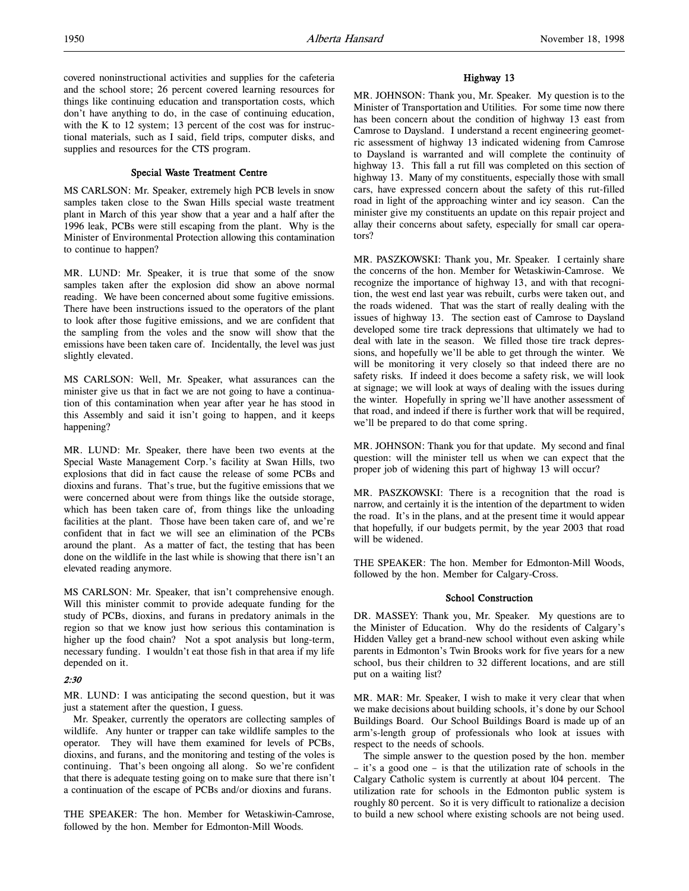covered noninstructional activities and supplies for the cafeteria and the school store; 26 percent covered learning resources for things like continuing education and transportation costs, which don't have anything to do, in the case of continuing education, with the K to 12 system; 13 percent of the cost was for instructional materials, such as I said, field trips, computer disks, and supplies and resources for the CTS program.

## Special Waste Treatment Centre

MS CARLSON: Mr. Speaker, extremely high PCB levels in snow samples taken close to the Swan Hills special waste treatment plant in March of this year show that a year and a half after the 1996 leak, PCBs were still escaping from the plant. Why is the Minister of Environmental Protection allowing this contamination to continue to happen?

MR. LUND: Mr. Speaker, it is true that some of the snow samples taken after the explosion did show an above normal reading. We have been concerned about some fugitive emissions. There have been instructions issued to the operators of the plant to look after those fugitive emissions, and we are confident that the sampling from the voles and the snow will show that the emissions have been taken care of. Incidentally, the level was just slightly elevated.

MS CARLSON: Well, Mr. Speaker, what assurances can the minister give us that in fact we are not going to have a continuation of this contamination when year after year he has stood in this Assembly and said it isn't going to happen, and it keeps happening?

MR. LUND: Mr. Speaker, there have been two events at the Special Waste Management Corp.'s facility at Swan Hills, two explosions that did in fact cause the release of some PCBs and dioxins and furans. That's true, but the fugitive emissions that we were concerned about were from things like the outside storage, which has been taken care of, from things like the unloading facilities at the plant. Those have been taken care of, and we're confident that in fact we will see an elimination of the PCBs around the plant. As a matter of fact, the testing that has been done on the wildlife in the last while is showing that there isn't an elevated reading anymore.

MS CARLSON: Mr. Speaker, that isn't comprehensive enough. Will this minister commit to provide adequate funding for the study of PCBs, dioxins, and furans in predatory animals in the region so that we know just how serious this contamination is higher up the food chain? Not a spot analysis but long-term, necessary funding. I wouldn't eat those fish in that area if my life depended on it.

## 2:30

MR. LUND: I was anticipating the second question, but it was just a statement after the question, I guess.

Mr. Speaker, currently the operators are collecting samples of wildlife. Any hunter or trapper can take wildlife samples to the operator. They will have them examined for levels of PCBs, dioxins, and furans, and the monitoring and testing of the voles is continuing. That's been ongoing all along. So we're confident that there is adequate testing going on to make sure that there isn't a continuation of the escape of PCBs and/or dioxins and furans.

THE SPEAKER: The hon. Member for Wetaskiwin-Camrose, followed by the hon. Member for Edmonton-Mill Woods.

## Highway 13

MR. JOHNSON: Thank you, Mr. Speaker. My question is to the Minister of Transportation and Utilities. For some time now there has been concern about the condition of highway 13 east from Camrose to Daysland. I understand a recent engineering geometric assessment of highway 13 indicated widening from Camrose to Daysland is warranted and will complete the continuity of highway 13. This fall a rut fill was completed on this section of highway 13. Many of my constituents, especially those with small cars, have expressed concern about the safety of this rut-filled road in light of the approaching winter and icy season. Can the minister give my constituents an update on this repair project and allay their concerns about safety, especially for small car operators?

MR. PASZKOWSKI: Thank you, Mr. Speaker. I certainly share the concerns of the hon. Member for Wetaskiwin-Camrose. We recognize the importance of highway 13, and with that recognition, the west end last year was rebuilt, curbs were taken out, and the roads widened. That was the start of really dealing with the issues of highway 13. The section east of Camrose to Daysland developed some tire track depressions that ultimately we had to deal with late in the season. We filled those tire track depressions, and hopefully we'll be able to get through the winter. We will be monitoring it very closely so that indeed there are no safety risks. If indeed it does become a safety risk, we will look at signage; we will look at ways of dealing with the issues during the winter. Hopefully in spring we'll have another assessment of that road, and indeed if there is further work that will be required, we'll be prepared to do that come spring.

MR. JOHNSON: Thank you for that update. My second and final question: will the minister tell us when we can expect that the proper job of widening this part of highway 13 will occur?

MR. PASZKOWSKI: There is a recognition that the road is narrow, and certainly it is the intention of the department to widen the road. It's in the plans, and at the present time it would appear that hopefully, if our budgets permit, by the year 2003 that road will be widened.

THE SPEAKER: The hon. Member for Edmonton-Mill Woods, followed by the hon. Member for Calgary-Cross.

#### School Construction

DR. MASSEY: Thank you, Mr. Speaker. My questions are to the Minister of Education. Why do the residents of Calgary's Hidden Valley get a brand-new school without even asking while parents in Edmonton's Twin Brooks work for five years for a new school, bus their children to 32 different locations, and are still put on a waiting list?

MR. MAR: Mr. Speaker, I wish to make it very clear that when we make decisions about building schools, it's done by our School Buildings Board. Our School Buildings Board is made up of an arm's-length group of professionals who look at issues with respect to the needs of schools.

The simple answer to the question posed by the hon. member – it's a good one – is that the utilization rate of schools in the Calgary Catholic system is currently at about 104 percent. The utilization rate for schools in the Edmonton public system is roughly 80 percent. So it is very difficult to rationalize a decision to build a new school where existing schools are not being used.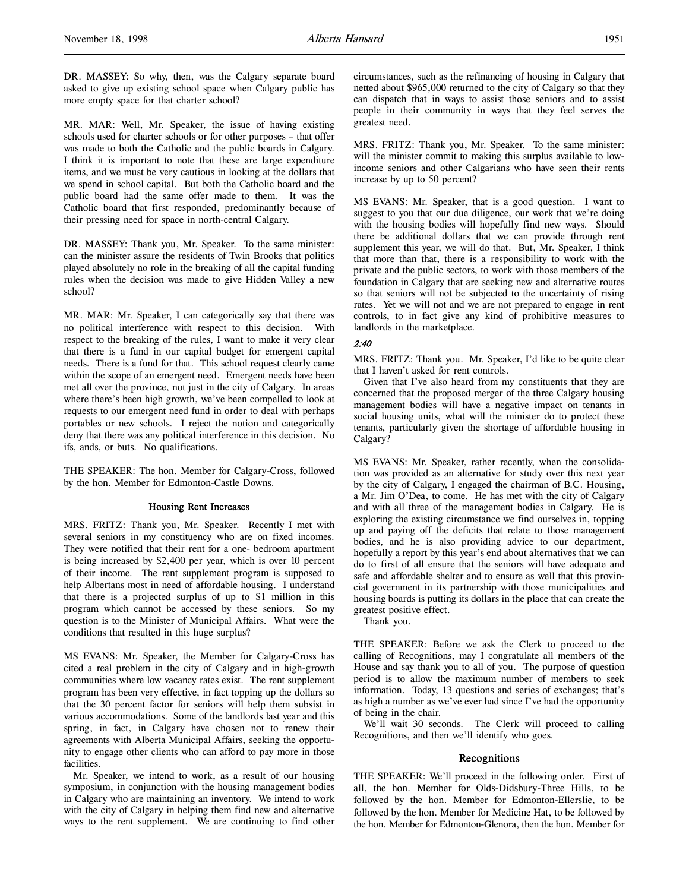DR. MASSEY: So why, then, was the Calgary separate board asked to give up existing school space when Calgary public has more empty space for that charter school?

MR. MAR: Well, Mr. Speaker, the issue of having existing schools used for charter schools or for other purposes – that offer was made to both the Catholic and the public boards in Calgary. I think it is important to note that these are large expenditure items, and we must be very cautious in looking at the dollars that we spend in school capital. But both the Catholic board and the public board had the same offer made to them. It was the Catholic board that first responded, predominantly because of their pressing need for space in north-central Calgary.

DR. MASSEY: Thank you, Mr. Speaker. To the same minister: can the minister assure the residents of Twin Brooks that politics played absolutely no role in the breaking of all the capital funding rules when the decision was made to give Hidden Valley a new school?

MR. MAR: Mr. Speaker, I can categorically say that there was no political interference with respect to this decision. With respect to the breaking of the rules, I want to make it very clear that there is a fund in our capital budget for emergent capital needs. There is a fund for that. This school request clearly came within the scope of an emergent need. Emergent needs have been met all over the province, not just in the city of Calgary. In areas where there's been high growth, we've been compelled to look at requests to our emergent need fund in order to deal with perhaps portables or new schools. I reject the notion and categorically deny that there was any political interference in this decision. No ifs, ands, or buts. No qualifications.

THE SPEAKER: The hon. Member for Calgary-Cross, followed by the hon. Member for Edmonton-Castle Downs.

## Housing Rent Increases

MRS. FRITZ: Thank you, Mr. Speaker. Recently I met with several seniors in my constituency who are on fixed incomes. They were notified that their rent for a one- bedroom apartment is being increased by \$2,400 per year, which is over 10 percent of their income. The rent supplement program is supposed to help Albertans most in need of affordable housing. I understand that there is a projected surplus of up to \$1 million in this program which cannot be accessed by these seniors. So my question is to the Minister of Municipal Affairs. What were the conditions that resulted in this huge surplus?

MS EVANS: Mr. Speaker, the Member for Calgary-Cross has cited a real problem in the city of Calgary and in high-growth communities where low vacancy rates exist. The rent supplement program has been very effective, in fact topping up the dollars so that the 30 percent factor for seniors will help them subsist in various accommodations. Some of the landlords last year and this spring, in fact, in Calgary have chosen not to renew their agreements with Alberta Municipal Affairs, seeking the opportunity to engage other clients who can afford to pay more in those facilities.

Mr. Speaker, we intend to work, as a result of our housing symposium, in conjunction with the housing management bodies in Calgary who are maintaining an inventory. We intend to work with the city of Calgary in helping them find new and alternative ways to the rent supplement. We are continuing to find other

circumstances, such as the refinancing of housing in Calgary that netted about \$965,000 returned to the city of Calgary so that they can dispatch that in ways to assist those seniors and to assist people in their community in ways that they feel serves the greatest need.

MRS. FRITZ: Thank you, Mr. Speaker. To the same minister: will the minister commit to making this surplus available to lowincome seniors and other Calgarians who have seen their rents increase by up to 50 percent?

MS EVANS: Mr. Speaker, that is a good question. I want to suggest to you that our due diligence, our work that we're doing with the housing bodies will hopefully find new ways. Should there be additional dollars that we can provide through rent supplement this year, we will do that. But, Mr. Speaker, I think that more than that, there is a responsibility to work with the private and the public sectors, to work with those members of the foundation in Calgary that are seeking new and alternative routes so that seniors will not be subjected to the uncertainty of rising rates. Yet we will not and we are not prepared to engage in rent controls, to in fact give any kind of prohibitive measures to landlords in the marketplace.

#### 2:40

MRS. FRITZ: Thank you. Mr. Speaker, I'd like to be quite clear that I haven't asked for rent controls.

Given that I've also heard from my constituents that they are concerned that the proposed merger of the three Calgary housing management bodies will have a negative impact on tenants in social housing units, what will the minister do to protect these tenants, particularly given the shortage of affordable housing in Calgary?

MS EVANS: Mr. Speaker, rather recently, when the consolidation was provided as an alternative for study over this next year by the city of Calgary, I engaged the chairman of B.C. Housing, a Mr. Jim O'Dea, to come. He has met with the city of Calgary and with all three of the management bodies in Calgary. He is exploring the existing circumstance we find ourselves in, topping up and paying off the deficits that relate to those management bodies, and he is also providing advice to our department, hopefully a report by this year's end about alternatives that we can do to first of all ensure that the seniors will have adequate and safe and affordable shelter and to ensure as well that this provincial government in its partnership with those municipalities and housing boards is putting its dollars in the place that can create the greatest positive effect.

Thank you.

THE SPEAKER: Before we ask the Clerk to proceed to the calling of Recognitions, may I congratulate all members of the House and say thank you to all of you. The purpose of question period is to allow the maximum number of members to seek information. Today, 13 questions and series of exchanges; that's as high a number as we've ever had since I've had the opportunity of being in the chair.

We'll wait 30 seconds. The Clerk will proceed to calling Recognitions, and then we'll identify who goes.

## Recognitions

THE SPEAKER: We'll proceed in the following order. First of all, the hon. Member for Olds-Didsbury-Three Hills, to be followed by the hon. Member for Edmonton-Ellerslie, to be followed by the hon. Member for Medicine Hat, to be followed by the hon. Member for Edmonton-Glenora, then the hon. Member for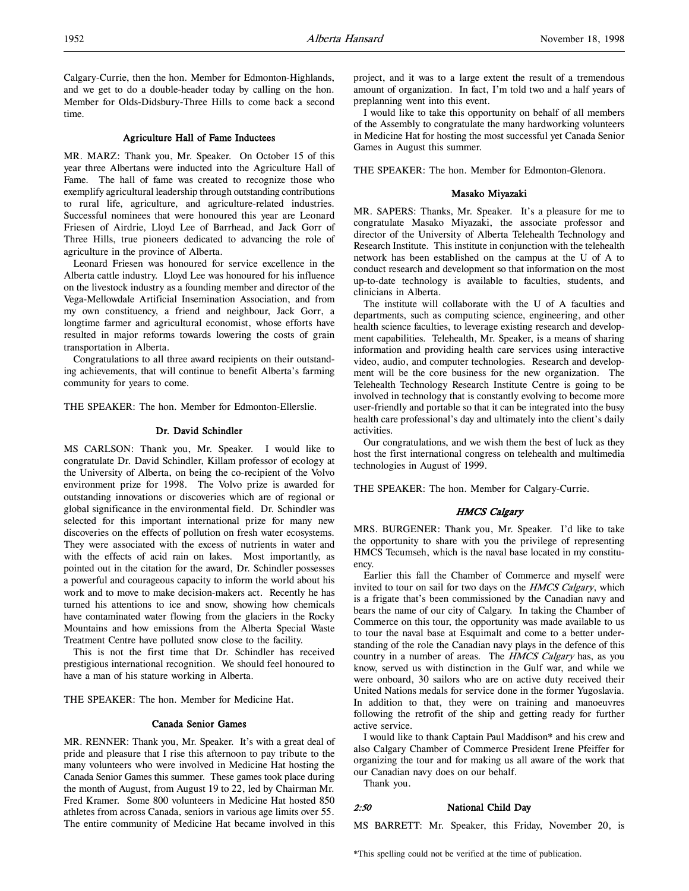Calgary-Currie, then the hon. Member for Edmonton-Highlands, and we get to do a double-header today by calling on the hon. Member for Olds-Didsbury-Three Hills to come back a second time.

#### Agriculture Hall of Fame Inductees

MR. MARZ: Thank you, Mr. Speaker. On October 15 of this year three Albertans were inducted into the Agriculture Hall of Fame. The hall of fame was created to recognize those who exemplify agricultural leadership through outstanding contributions to rural life, agriculture, and agriculture-related industries. Successful nominees that were honoured this year are Leonard Friesen of Airdrie, Lloyd Lee of Barrhead, and Jack Gorr of Three Hills, true pioneers dedicated to advancing the role of agriculture in the province of Alberta.

Leonard Friesen was honoured for service excellence in the Alberta cattle industry. Lloyd Lee was honoured for his influence on the livestock industry as a founding member and director of the Vega-Mellowdale Artificial Insemination Association, and from my own constituency, a friend and neighbour, Jack Gorr, a longtime farmer and agricultural economist, whose efforts have resulted in major reforms towards lowering the costs of grain transportation in Alberta.

Congratulations to all three award recipients on their outstanding achievements, that will continue to benefit Alberta's farming community for years to come.

THE SPEAKER: The hon. Member for Edmonton-Ellerslie.

#### Dr. David Schindler

MS CARLSON: Thank you, Mr. Speaker. I would like to congratulate Dr. David Schindler, Killam professor of ecology at the University of Alberta, on being the co-recipient of the Volvo environment prize for 1998. The Volvo prize is awarded for outstanding innovations or discoveries which are of regional or global significance in the environmental field. Dr. Schindler was selected for this important international prize for many new discoveries on the effects of pollution on fresh water ecosystems. They were associated with the excess of nutrients in water and with the effects of acid rain on lakes. Most importantly, as pointed out in the citation for the award, Dr. Schindler possesses a powerful and courageous capacity to inform the world about his work and to move to make decision-makers act. Recently he has turned his attentions to ice and snow, showing how chemicals have contaminated water flowing from the glaciers in the Rocky Mountains and how emissions from the Alberta Special Waste Treatment Centre have polluted snow close to the facility.

This is not the first time that Dr. Schindler has received prestigious international recognition. We should feel honoured to have a man of his stature working in Alberta.

THE SPEAKER: The hon. Member for Medicine Hat.

#### Canada Senior Games

MR. RENNER: Thank you, Mr. Speaker. It's with a great deal of pride and pleasure that I rise this afternoon to pay tribute to the many volunteers who were involved in Medicine Hat hosting the Canada Senior Games this summer. These games took place during the month of August, from August 19 to 22, led by Chairman Mr. Fred Kramer. Some 800 volunteers in Medicine Hat hosted 850 athletes from across Canada, seniors in various age limits over 55. The entire community of Medicine Hat became involved in this

project, and it was to a large extent the result of a tremendous amount of organization. In fact, I'm told two and a half years of preplanning went into this event.

I would like to take this opportunity on behalf of all members of the Assembly to congratulate the many hardworking volunteers in Medicine Hat for hosting the most successful yet Canada Senior Games in August this summer.

THE SPEAKER: The hon. Member for Edmonton-Glenora.

#### Masako Miyazaki

MR. SAPERS: Thanks, Mr. Speaker. It's a pleasure for me to congratulate Masako Miyazaki, the associate professor and director of the University of Alberta Telehealth Technology and Research Institute. This institute in conjunction with the telehealth network has been established on the campus at the U of A to conduct research and development so that information on the most up-to-date technology is available to faculties, students, and clinicians in Alberta.

The institute will collaborate with the U of A faculties and departments, such as computing science, engineering, and other health science faculties, to leverage existing research and development capabilities. Telehealth, Mr. Speaker, is a means of sharing information and providing health care services using interactive video, audio, and computer technologies. Research and development will be the core business for the new organization. The Telehealth Technology Research Institute Centre is going to be involved in technology that is constantly evolving to become more user-friendly and portable so that it can be integrated into the busy health care professional's day and ultimately into the client's daily activities.

Our congratulations, and we wish them the best of luck as they host the first international congress on telehealth and multimedia technologies in August of 1999.

THE SPEAKER: The hon. Member for Calgary-Currie.

#### HMCS Calgary

MRS. BURGENER: Thank you, Mr. Speaker. I'd like to take the opportunity to share with you the privilege of representing HMCS Tecumseh, which is the naval base located in my constituency.

Earlier this fall the Chamber of Commerce and myself were invited to tour on sail for two days on the HMCS Calgary, which is a frigate that's been commissioned by the Canadian navy and bears the name of our city of Calgary. In taking the Chamber of Commerce on this tour, the opportunity was made available to us to tour the naval base at Esquimalt and come to a better understanding of the role the Canadian navy plays in the defence of this country in a number of areas. The HMCS Calgary has, as you know, served us with distinction in the Gulf war, and while we were onboard, 30 sailors who are on active duty received their United Nations medals for service done in the former Yugoslavia. In addition to that, they were on training and manoeuvres following the retrofit of the ship and getting ready for further active service.

I would like to thank Captain Paul Maddison\* and his crew and also Calgary Chamber of Commerce President Irene Pfeiffer for organizing the tour and for making us all aware of the work that our Canadian navy does on our behalf.

Thank you.

#### 2:50 National Child Day

MS BARRETT: Mr. Speaker, this Friday, November 20, is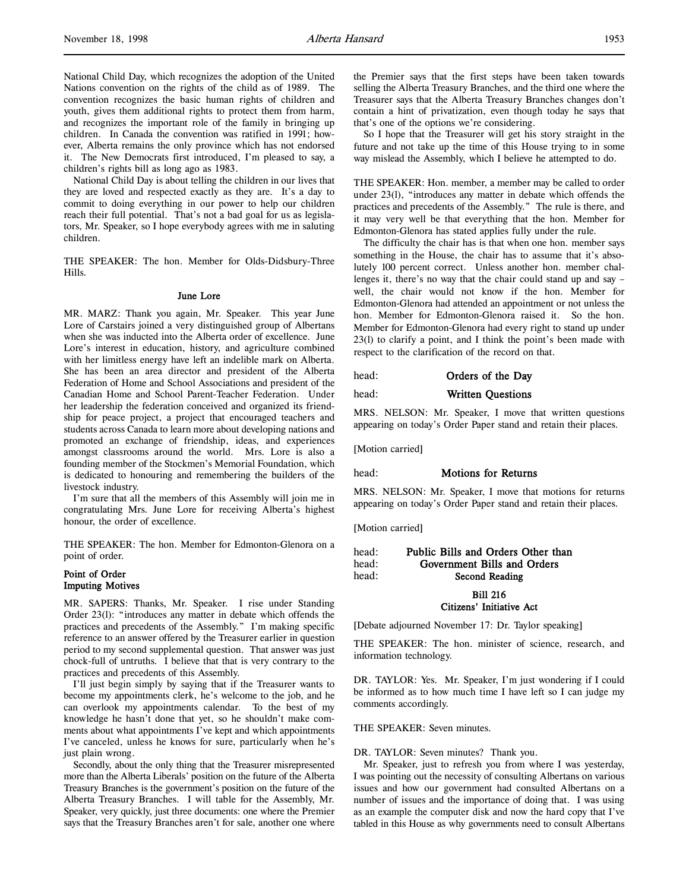National Child Day, which recognizes the adoption of the United Nations convention on the rights of the child as of 1989. The convention recognizes the basic human rights of children and youth, gives them additional rights to protect them from harm, and recognizes the important role of the family in bringing up children. In Canada the convention was ratified in 1991; however, Alberta remains the only province which has not endorsed it. The New Democrats first introduced, I'm pleased to say, a children's rights bill as long ago as 1983.

National Child Day is about telling the children in our lives that they are loved and respected exactly as they are. It's a day to commit to doing everything in our power to help our children reach their full potential. That's not a bad goal for us as legislators, Mr. Speaker, so I hope everybody agrees with me in saluting children.

THE SPEAKER: The hon. Member for Olds-Didsbury-Three Hills.

#### June Lore

MR. MARZ: Thank you again, Mr. Speaker. This year June Lore of Carstairs joined a very distinguished group of Albertans when she was inducted into the Alberta order of excellence. June Lore's interest in education, history, and agriculture combined with her limitless energy have left an indelible mark on Alberta. She has been an area director and president of the Alberta Federation of Home and School Associations and president of the Canadian Home and School Parent-Teacher Federation. Under her leadership the federation conceived and organized its friendship for peace project, a project that encouraged teachers and students across Canada to learn more about developing nations and promoted an exchange of friendship, ideas, and experiences amongst classrooms around the world. Mrs. Lore is also a founding member of the Stockmen's Memorial Foundation, which is dedicated to honouring and remembering the builders of the livestock industry.

I'm sure that all the members of this Assembly will join me in congratulating Mrs. June Lore for receiving Alberta's highest honour, the order of excellence.

THE SPEAKER: The hon. Member for Edmonton-Glenora on a point of order.

## Point of Order Imputing Motives

MR. SAPERS: Thanks, Mr. Speaker. I rise under Standing Order 23(l): "introduces any matter in debate which offends the practices and precedents of the Assembly." I'm making specific reference to an answer offered by the Treasurer earlier in question period to my second supplemental question. That answer was just chock-full of untruths. I believe that that is very contrary to the practices and precedents of this Assembly.

I'll just begin simply by saying that if the Treasurer wants to become my appointments clerk, he's welcome to the job, and he can overlook my appointments calendar. To the best of my knowledge he hasn't done that yet, so he shouldn't make comments about what appointments I've kept and which appointments I've canceled, unless he knows for sure, particularly when he's just plain wrong.

Secondly, about the only thing that the Treasurer misrepresented more than the Alberta Liberals' position on the future of the Alberta Treasury Branches is the government's position on the future of the Alberta Treasury Branches. I will table for the Assembly, Mr. Speaker, very quickly, just three documents: one where the Premier says that the Treasury Branches aren't for sale, another one where the Premier says that the first steps have been taken towards selling the Alberta Treasury Branches, and the third one where the Treasurer says that the Alberta Treasury Branches changes don't contain a hint of privatization, even though today he says that that's one of the options we're considering.

So I hope that the Treasurer will get his story straight in the future and not take up the time of this House trying to in some way mislead the Assembly, which I believe he attempted to do.

THE SPEAKER: Hon. member, a member may be called to order under 23(l), "introduces any matter in debate which offends the practices and precedents of the Assembly." The rule is there, and it may very well be that everything that the hon. Member for Edmonton-Glenora has stated applies fully under the rule.

The difficulty the chair has is that when one hon. member says something in the House, the chair has to assume that it's absolutely 100 percent correct. Unless another hon. member challenges it, there's no way that the chair could stand up and say – well, the chair would not know if the hon. Member for Edmonton-Glenora had attended an appointment or not unless the hon. Member for Edmonton-Glenora raised it. So the hon. Member for Edmonton-Glenora had every right to stand up under 23(l) to clarify a point, and I think the point's been made with respect to the clarification of the record on that.

## head: **Orders of the Day**

## head: Written Questions

MRS. NELSON: Mr. Speaker, I move that written questions appearing on today's Order Paper stand and retain their places.

[Motion carried]

head: **Motions for Returns** 

MRS. NELSON: Mr. Speaker, I move that motions for returns appearing on today's Order Paper stand and retain their places.

[Motion carried]

# head: Public Bills and Orders Other than head: Government Bills and Orders head: Second Reading

Bill 216 Citizens' Initiative Act

[Debate adjourned November 17: Dr. Taylor speaking]

THE SPEAKER: The hon. minister of science, research, and information technology.

DR. TAYLOR: Yes. Mr. Speaker, I'm just wondering if I could be informed as to how much time I have left so I can judge my comments accordingly.

THE SPEAKER: Seven minutes.

DR. TAYLOR: Seven minutes? Thank you.

Mr. Speaker, just to refresh you from where I was yesterday, I was pointing out the necessity of consulting Albertans on various issues and how our government had consulted Albertans on a number of issues and the importance of doing that. I was using as an example the computer disk and now the hard copy that I've tabled in this House as why governments need to consult Albertans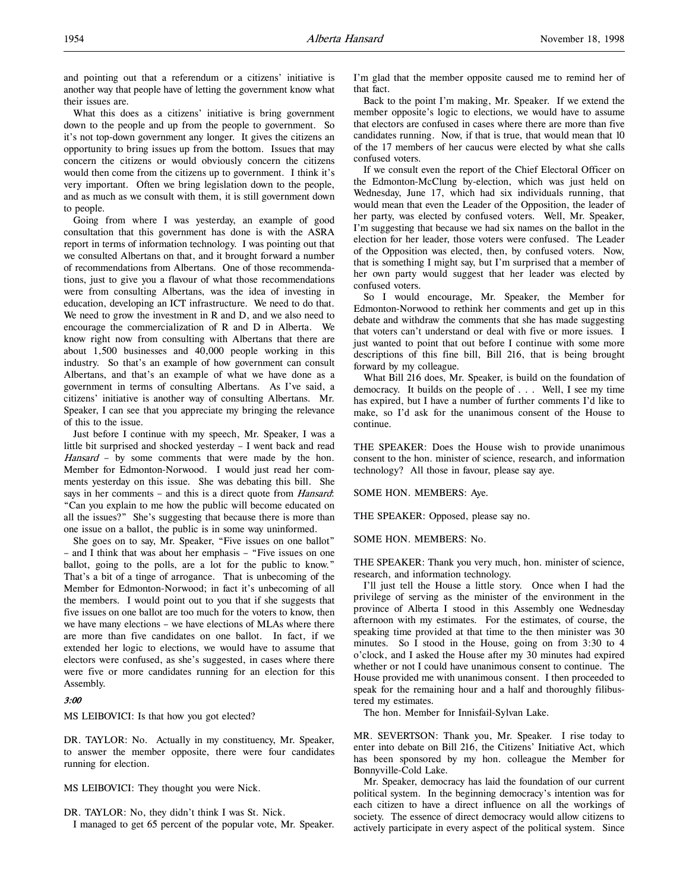and pointing out that a referendum or a citizens' initiative is another way that people have of letting the government know what their issues are.

What this does as a citizens' initiative is bring government down to the people and up from the people to government. So it's not top-down government any longer. It gives the citizens an opportunity to bring issues up from the bottom. Issues that may concern the citizens or would obviously concern the citizens would then come from the citizens up to government. I think it's very important. Often we bring legislation down to the people, and as much as we consult with them, it is still government down to people.

Going from where I was yesterday, an example of good consultation that this government has done is with the ASRA report in terms of information technology. I was pointing out that we consulted Albertans on that, and it brought forward a number of recommendations from Albertans. One of those recommendations, just to give you a flavour of what those recommendations were from consulting Albertans, was the idea of investing in education, developing an ICT infrastructure. We need to do that. We need to grow the investment in R and D, and we also need to encourage the commercialization of R and D in Alberta. We know right now from consulting with Albertans that there are about 1,500 businesses and 40,000 people working in this industry. So that's an example of how government can consult Albertans, and that's an example of what we have done as a government in terms of consulting Albertans. As I've said, a citizens' initiative is another way of consulting Albertans. Mr. Speaker, I can see that you appreciate my bringing the relevance of this to the issue.

Just before I continue with my speech, Mr. Speaker, I was a little bit surprised and shocked yesterday – I went back and read Hansard - by some comments that were made by the hon. Member for Edmonton-Norwood. I would just read her comments yesterday on this issue. She was debating this bill. She says in her comments - and this is a direct quote from *Hansard*: "Can you explain to me how the public will become educated on all the issues?" She's suggesting that because there is more than one issue on a ballot, the public is in some way uninformed.

She goes on to say, Mr. Speaker, "Five issues on one ballot" – and I think that was about her emphasis – "Five issues on one ballot, going to the polls, are a lot for the public to know." That's a bit of a tinge of arrogance. That is unbecoming of the Member for Edmonton-Norwood; in fact it's unbecoming of all the members. I would point out to you that if she suggests that five issues on one ballot are too much for the voters to know, then we have many elections – we have elections of MLAs where there are more than five candidates on one ballot. In fact, if we extended her logic to elections, we would have to assume that electors were confused, as she's suggested, in cases where there were five or more candidates running for an election for this Assembly.

### 3:00

MS LEIBOVICI: Is that how you got elected?

DR. TAYLOR: No. Actually in my constituency, Mr. Speaker, to answer the member opposite, there were four candidates running for election.

MS LEIBOVICI: They thought you were Nick.

DR. TAYLOR: No, they didn't think I was St. Nick.

I managed to get 65 percent of the popular vote, Mr. Speaker.

I'm glad that the member opposite caused me to remind her of that fact.

Back to the point I'm making, Mr. Speaker. If we extend the member opposite's logic to elections, we would have to assume that electors are confused in cases where there are more than five candidates running. Now, if that is true, that would mean that 10 of the 17 members of her caucus were elected by what she calls confused voters.

If we consult even the report of the Chief Electoral Officer on the Edmonton-McClung by-election, which was just held on Wednesday, June 17, which had six individuals running, that would mean that even the Leader of the Opposition, the leader of her party, was elected by confused voters. Well, Mr. Speaker, I'm suggesting that because we had six names on the ballot in the election for her leader, those voters were confused. The Leader of the Opposition was elected, then, by confused voters. Now, that is something I might say, but I'm surprised that a member of her own party would suggest that her leader was elected by confused voters.

So I would encourage, Mr. Speaker, the Member for Edmonton-Norwood to rethink her comments and get up in this debate and withdraw the comments that she has made suggesting that voters can't understand or deal with five or more issues. I just wanted to point that out before I continue with some more descriptions of this fine bill, Bill 216, that is being brought forward by my colleague.

What Bill 216 does, Mr. Speaker, is build on the foundation of democracy. It builds on the people of . . . Well, I see my time has expired, but I have a number of further comments I'd like to make, so I'd ask for the unanimous consent of the House to continue.

THE SPEAKER: Does the House wish to provide unanimous consent to the hon. minister of science, research, and information technology? All those in favour, please say aye.

SOME HON. MEMBERS: Aye.

THE SPEAKER: Opposed, please say no.

SOME HON. MEMBERS: No.

THE SPEAKER: Thank you very much, hon. minister of science, research, and information technology.

I'll just tell the House a little story. Once when I had the privilege of serving as the minister of the environment in the province of Alberta I stood in this Assembly one Wednesday afternoon with my estimates. For the estimates, of course, the speaking time provided at that time to the then minister was 30 minutes. So I stood in the House, going on from 3:30 to 4 o'clock, and I asked the House after my 30 minutes had expired whether or not I could have unanimous consent to continue. The House provided me with unanimous consent. I then proceeded to speak for the remaining hour and a half and thoroughly filibustered my estimates.

The hon. Member for Innisfail-Sylvan Lake.

MR. SEVERTSON: Thank you, Mr. Speaker. I rise today to enter into debate on Bill 216, the Citizens' Initiative Act, which has been sponsored by my hon. colleague the Member for Bonnyville-Cold Lake.

Mr. Speaker, democracy has laid the foundation of our current political system. In the beginning democracy's intention was for each citizen to have a direct influence on all the workings of society. The essence of direct democracy would allow citizens to actively participate in every aspect of the political system. Since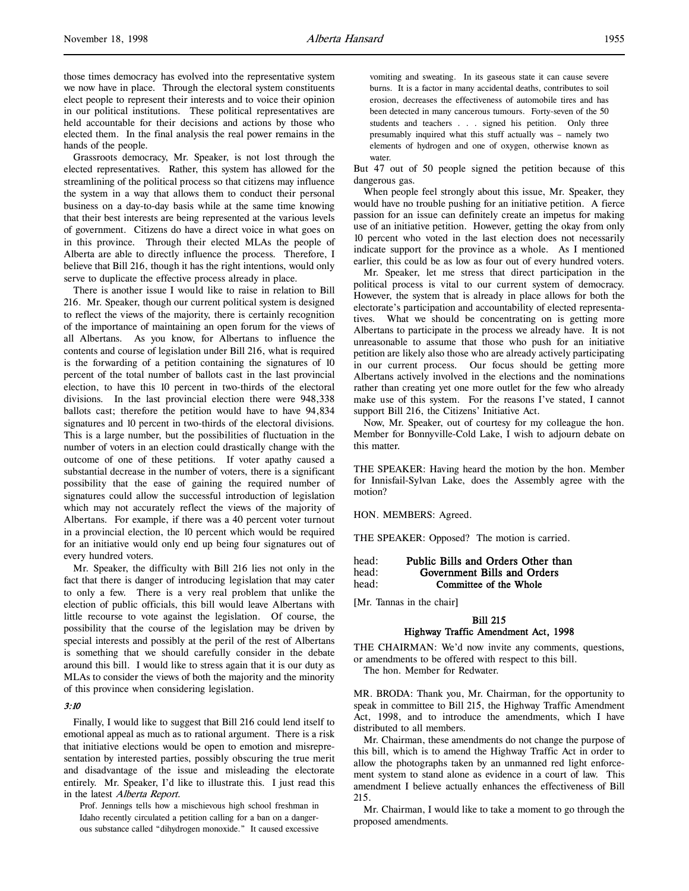those times democracy has evolved into the representative system we now have in place. Through the electoral system constituents elect people to represent their interests and to voice their opinion in our political institutions. These political representatives are held accountable for their decisions and actions by those who elected them. In the final analysis the real power remains in the hands of the people.

Grassroots democracy, Mr. Speaker, is not lost through the elected representatives. Rather, this system has allowed for the streamlining of the political process so that citizens may influence the system in a way that allows them to conduct their personal business on a day-to-day basis while at the same time knowing that their best interests are being represented at the various levels of government. Citizens do have a direct voice in what goes on in this province. Through their elected MLAs the people of Alberta are able to directly influence the process. Therefore, I believe that Bill 216, though it has the right intentions, would only serve to duplicate the effective process already in place.

There is another issue I would like to raise in relation to Bill 216. Mr. Speaker, though our current political system is designed to reflect the views of the majority, there is certainly recognition of the importance of maintaining an open forum for the views of all Albertans. As you know, for Albertans to influence the contents and course of legislation under Bill 216, what is required is the forwarding of a petition containing the signatures of 10 percent of the total number of ballots cast in the last provincial election, to have this 10 percent in two-thirds of the electoral divisions. In the last provincial election there were 948,338 ballots cast; therefore the petition would have to have 94,834 signatures and 10 percent in two-thirds of the electoral divisions. This is a large number, but the possibilities of fluctuation in the number of voters in an election could drastically change with the outcome of one of these petitions. If voter apathy caused a substantial decrease in the number of voters, there is a significant possibility that the ease of gaining the required number of signatures could allow the successful introduction of legislation which may not accurately reflect the views of the majority of Albertans. For example, if there was a 40 percent voter turnout in a provincial election, the 10 percent which would be required for an initiative would only end up being four signatures out of every hundred voters.

Mr. Speaker, the difficulty with Bill 216 lies not only in the fact that there is danger of introducing legislation that may cater to only a few. There is a very real problem that unlike the election of public officials, this bill would leave Albertans with little recourse to vote against the legislation. Of course, the possibility that the course of the legislation may be driven by special interests and possibly at the peril of the rest of Albertans is something that we should carefully consider in the debate around this bill. I would like to stress again that it is our duty as MLAs to consider the views of both the majority and the minority of this province when considering legislation.

## 3:10

Finally, I would like to suggest that Bill 216 could lend itself to emotional appeal as much as to rational argument. There is a risk that initiative elections would be open to emotion and misrepresentation by interested parties, possibly obscuring the true merit and disadvantage of the issue and misleading the electorate entirely. Mr. Speaker, I'd like to illustrate this. I just read this in the latest Alberta Report.

Prof. Jennings tells how a mischievous high school freshman in Idaho recently circulated a petition calling for a ban on a dangerous substance called "dihydrogen monoxide." It caused excessive

vomiting and sweating. In its gaseous state it can cause severe burns. It is a factor in many accidental deaths, contributes to soil erosion, decreases the effectiveness of automobile tires and has been detected in many cancerous tumours. Forty-seven of the 50 students and teachers . . . signed his petition. Only three presumably inquired what this stuff actually was – namely two elements of hydrogen and one of oxygen, otherwise known as water.

But 47 out of 50 people signed the petition because of this dangerous gas.

When people feel strongly about this issue, Mr. Speaker, they would have no trouble pushing for an initiative petition. A fierce passion for an issue can definitely create an impetus for making use of an initiative petition. However, getting the okay from only 10 percent who voted in the last election does not necessarily indicate support for the province as a whole. As I mentioned earlier, this could be as low as four out of every hundred voters.

Mr. Speaker, let me stress that direct participation in the political process is vital to our current system of democracy. However, the system that is already in place allows for both the electorate's participation and accountability of elected representatives. What we should be concentrating on is getting more Albertans to participate in the process we already have. It is not unreasonable to assume that those who push for an initiative petition are likely also those who are already actively participating in our current process. Our focus should be getting more Albertans actively involved in the elections and the nominations rather than creating yet one more outlet for the few who already make use of this system. For the reasons I've stated, I cannot support Bill 216, the Citizens' Initiative Act.

Now, Mr. Speaker, out of courtesy for my colleague the hon. Member for Bonnyville-Cold Lake, I wish to adjourn debate on this matter.

THE SPEAKER: Having heard the motion by the hon. Member for Innisfail-Sylvan Lake, does the Assembly agree with the motion?

HON. MEMBERS: Agreed.

THE SPEAKER: Opposed? The motion is carried.

| head: | Public Bills and Orders Other than |
|-------|------------------------------------|
| head: | Government Bills and Orders        |
| head: | Committee of the Whole             |

[Mr. Tannas in the chair]

## Bill 215 Highway Traffic Amendment Act, 1998

THE CHAIRMAN: We'd now invite any comments, questions, or amendments to be offered with respect to this bill.

The hon. Member for Redwater.

MR. BRODA: Thank you, Mr. Chairman, for the opportunity to speak in committee to Bill 215, the Highway Traffic Amendment Act, 1998, and to introduce the amendments, which I have distributed to all members.

Mr. Chairman, these amendments do not change the purpose of this bill, which is to amend the Highway Traffic Act in order to allow the photographs taken by an unmanned red light enforcement system to stand alone as evidence in a court of law. This amendment I believe actually enhances the effectiveness of Bill 215.

Mr. Chairman, I would like to take a moment to go through the proposed amendments.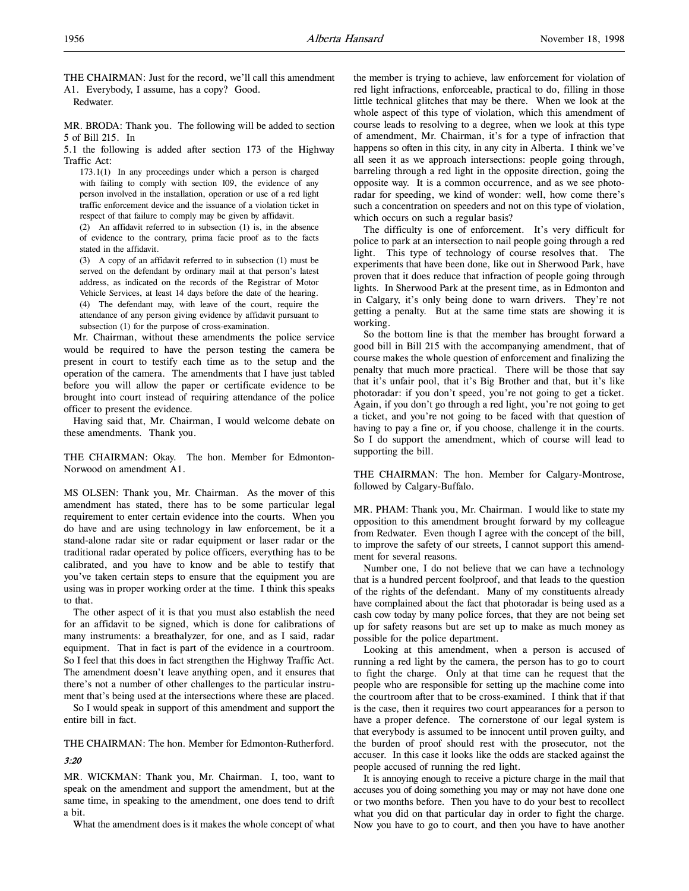THE CHAIRMAN: Just for the record, we'll call this amendment A1. Everybody, I assume, has a copy? Good.

Redwater.

MR. BRODA: Thank you. The following will be added to section 5 of Bill 215. In

5.1 the following is added after section 173 of the Highway Traffic Act:

173.1(1) In any proceedings under which a person is charged with failing to comply with section 109, the evidence of any person involved in the installation, operation or use of a red light traffic enforcement device and the issuance of a violation ticket in respect of that failure to comply may be given by affidavit.

(2) An affidavit referred to in subsection (1) is, in the absence of evidence to the contrary, prima facie proof as to the facts stated in the affidavit.

(3) A copy of an affidavit referred to in subsection (1) must be served on the defendant by ordinary mail at that person's latest address, as indicated on the records of the Registrar of Motor Vehicle Services, at least 14 days before the date of the hearing. (4) The defendant may, with leave of the court, require the attendance of any person giving evidence by affidavit pursuant to subsection (1) for the purpose of cross-examination.

Mr. Chairman, without these amendments the police service would be required to have the person testing the camera be present in court to testify each time as to the setup and the operation of the camera. The amendments that I have just tabled before you will allow the paper or certificate evidence to be brought into court instead of requiring attendance of the police officer to present the evidence.

Having said that, Mr. Chairman, I would welcome debate on these amendments. Thank you.

THE CHAIRMAN: Okay. The hon. Member for Edmonton-Norwood on amendment A1.

MS OLSEN: Thank you, Mr. Chairman. As the mover of this amendment has stated, there has to be some particular legal requirement to enter certain evidence into the courts. When you do have and are using technology in law enforcement, be it a stand-alone radar site or radar equipment or laser radar or the traditional radar operated by police officers, everything has to be calibrated, and you have to know and be able to testify that you've taken certain steps to ensure that the equipment you are using was in proper working order at the time. I think this speaks to that.

The other aspect of it is that you must also establish the need for an affidavit to be signed, which is done for calibrations of many instruments: a breathalyzer, for one, and as I said, radar equipment. That in fact is part of the evidence in a courtroom. So I feel that this does in fact strengthen the Highway Traffic Act. The amendment doesn't leave anything open, and it ensures that there's not a number of other challenges to the particular instrument that's being used at the intersections where these are placed.

So I would speak in support of this amendment and support the entire bill in fact.

THE CHAIRMAN: The hon. Member for Edmonton-Rutherford.

## 3:20

MR. WICKMAN: Thank you, Mr. Chairman. I, too, want to speak on the amendment and support the amendment, but at the same time, in speaking to the amendment, one does tend to drift a bit.

What the amendment does is it makes the whole concept of what

the member is trying to achieve, law enforcement for violation of red light infractions, enforceable, practical to do, filling in those little technical glitches that may be there. When we look at the whole aspect of this type of violation, which this amendment of course leads to resolving to a degree, when we look at this type of amendment, Mr. Chairman, it's for a type of infraction that happens so often in this city, in any city in Alberta. I think we've all seen it as we approach intersections: people going through, barreling through a red light in the opposite direction, going the opposite way. It is a common occurrence, and as we see photoradar for speeding, we kind of wonder: well, how come there's such a concentration on speeders and not on this type of violation, which occurs on such a regular basis?

The difficulty is one of enforcement. It's very difficult for police to park at an intersection to nail people going through a red light. This type of technology of course resolves that. The experiments that have been done, like out in Sherwood Park, have proven that it does reduce that infraction of people going through lights. In Sherwood Park at the present time, as in Edmonton and in Calgary, it's only being done to warn drivers. They're not getting a penalty. But at the same time stats are showing it is working.

So the bottom line is that the member has brought forward a good bill in Bill 215 with the accompanying amendment, that of course makes the whole question of enforcement and finalizing the penalty that much more practical. There will be those that say that it's unfair pool, that it's Big Brother and that, but it's like photoradar: if you don't speed, you're not going to get a ticket. Again, if you don't go through a red light, you're not going to get a ticket, and you're not going to be faced with that question of having to pay a fine or, if you choose, challenge it in the courts. So I do support the amendment, which of course will lead to supporting the bill.

THE CHAIRMAN: The hon. Member for Calgary-Montrose, followed by Calgary-Buffalo.

MR. PHAM: Thank you, Mr. Chairman. I would like to state my opposition to this amendment brought forward by my colleague from Redwater. Even though I agree with the concept of the bill, to improve the safety of our streets, I cannot support this amendment for several reasons.

Number one, I do not believe that we can have a technology that is a hundred percent foolproof, and that leads to the question of the rights of the defendant. Many of my constituents already have complained about the fact that photoradar is being used as a cash cow today by many police forces, that they are not being set up for safety reasons but are set up to make as much money as possible for the police department.

Looking at this amendment, when a person is accused of running a red light by the camera, the person has to go to court to fight the charge. Only at that time can he request that the people who are responsible for setting up the machine come into the courtroom after that to be cross-examined. I think that if that is the case, then it requires two court appearances for a person to have a proper defence. The cornerstone of our legal system is that everybody is assumed to be innocent until proven guilty, and the burden of proof should rest with the prosecutor, not the accuser. In this case it looks like the odds are stacked against the people accused of running the red light.

It is annoying enough to receive a picture charge in the mail that accuses you of doing something you may or may not have done one or two months before. Then you have to do your best to recollect what you did on that particular day in order to fight the charge. Now you have to go to court, and then you have to have another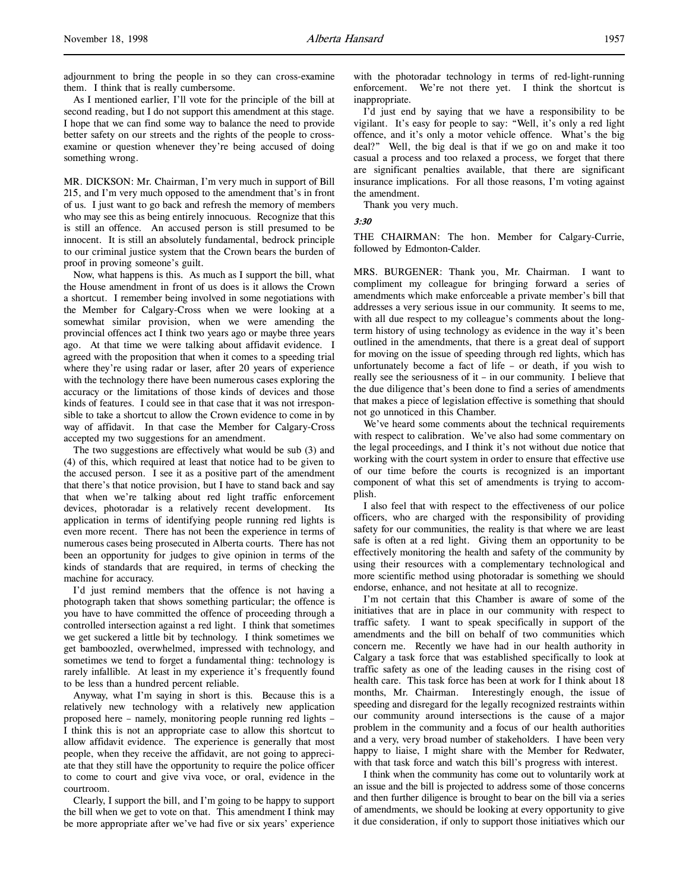adjournment to bring the people in so they can cross-examine them. I think that is really cumbersome.

As I mentioned earlier, I'll vote for the principle of the bill at second reading, but I do not support this amendment at this stage. I hope that we can find some way to balance the need to provide better safety on our streets and the rights of the people to crossexamine or question whenever they're being accused of doing something wrong.

MR. DICKSON: Mr. Chairman, I'm very much in support of Bill 215, and I'm very much opposed to the amendment that's in front of us. I just want to go back and refresh the memory of members who may see this as being entirely innocuous. Recognize that this is still an offence. An accused person is still presumed to be innocent. It is still an absolutely fundamental, bedrock principle to our criminal justice system that the Crown bears the burden of proof in proving someone's guilt.

Now, what happens is this. As much as I support the bill, what the House amendment in front of us does is it allows the Crown a shortcut. I remember being involved in some negotiations with the Member for Calgary-Cross when we were looking at a somewhat similar provision, when we were amending the provincial offences act I think two years ago or maybe three years ago. At that time we were talking about affidavit evidence. I agreed with the proposition that when it comes to a speeding trial where they're using radar or laser, after 20 years of experience with the technology there have been numerous cases exploring the accuracy or the limitations of those kinds of devices and those kinds of features. I could see in that case that it was not irresponsible to take a shortcut to allow the Crown evidence to come in by way of affidavit. In that case the Member for Calgary-Cross accepted my two suggestions for an amendment.

The two suggestions are effectively what would be sub (3) and (4) of this, which required at least that notice had to be given to the accused person. I see it as a positive part of the amendment that there's that notice provision, but I have to stand back and say that when we're talking about red light traffic enforcement devices, photoradar is a relatively recent development. Its application in terms of identifying people running red lights is even more recent. There has not been the experience in terms of numerous cases being prosecuted in Alberta courts. There has not been an opportunity for judges to give opinion in terms of the kinds of standards that are required, in terms of checking the machine for accuracy.

I'd just remind members that the offence is not having a photograph taken that shows something particular; the offence is you have to have committed the offence of proceeding through a controlled intersection against a red light. I think that sometimes we get suckered a little bit by technology. I think sometimes we get bamboozled, overwhelmed, impressed with technology, and sometimes we tend to forget a fundamental thing: technology is rarely infallible. At least in my experience it's frequently found to be less than a hundred percent reliable.

Anyway, what I'm saying in short is this. Because this is a relatively new technology with a relatively new application proposed here – namely, monitoring people running red lights – I think this is not an appropriate case to allow this shortcut to allow affidavit evidence. The experience is generally that most people, when they receive the affidavit, are not going to appreciate that they still have the opportunity to require the police officer to come to court and give viva voce, or oral, evidence in the courtroom.

Clearly, I support the bill, and I'm going to be happy to support the bill when we get to vote on that. This amendment I think may be more appropriate after we've had five or six years' experience with the photoradar technology in terms of red-light-running enforcement. We're not there yet. I think the shortcut is inappropriate.

I'd just end by saying that we have a responsibility to be vigilant. It's easy for people to say: "Well, it's only a red light offence, and it's only a motor vehicle offence. What's the big deal?" Well, the big deal is that if we go on and make it too casual a process and too relaxed a process, we forget that there are significant penalties available, that there are significant insurance implications. For all those reasons, I'm voting against the amendment.

Thank you very much.

3:30

THE CHAIRMAN: The hon. Member for Calgary-Currie, followed by Edmonton-Calder.

MRS. BURGENER: Thank you, Mr. Chairman. I want to compliment my colleague for bringing forward a series of amendments which make enforceable a private member's bill that addresses a very serious issue in our community. It seems to me, with all due respect to my colleague's comments about the longterm history of using technology as evidence in the way it's been outlined in the amendments, that there is a great deal of support for moving on the issue of speeding through red lights, which has unfortunately become a fact of life – or death, if you wish to really see the seriousness of it – in our community. I believe that the due diligence that's been done to find a series of amendments that makes a piece of legislation effective is something that should not go unnoticed in this Chamber.

We've heard some comments about the technical requirements with respect to calibration. We've also had some commentary on the legal proceedings, and I think it's not without due notice that working with the court system in order to ensure that effective use of our time before the courts is recognized is an important component of what this set of amendments is trying to accomplish.

I also feel that with respect to the effectiveness of our police officers, who are charged with the responsibility of providing safety for our communities, the reality is that where we are least safe is often at a red light. Giving them an opportunity to be effectively monitoring the health and safety of the community by using their resources with a complementary technological and more scientific method using photoradar is something we should endorse, enhance, and not hesitate at all to recognize.

I'm not certain that this Chamber is aware of some of the initiatives that are in place in our community with respect to traffic safety. I want to speak specifically in support of the amendments and the bill on behalf of two communities which concern me. Recently we have had in our health authority in Calgary a task force that was established specifically to look at traffic safety as one of the leading causes in the rising cost of health care. This task force has been at work for I think about 18 months, Mr. Chairman. Interestingly enough, the issue of speeding and disregard for the legally recognized restraints within our community around intersections is the cause of a major problem in the community and a focus of our health authorities and a very, very broad number of stakeholders. I have been very happy to liaise, I might share with the Member for Redwater, with that task force and watch this bill's progress with interest.

I think when the community has come out to voluntarily work at an issue and the bill is projected to address some of those concerns and then further diligence is brought to bear on the bill via a series of amendments, we should be looking at every opportunity to give it due consideration, if only to support those initiatives which our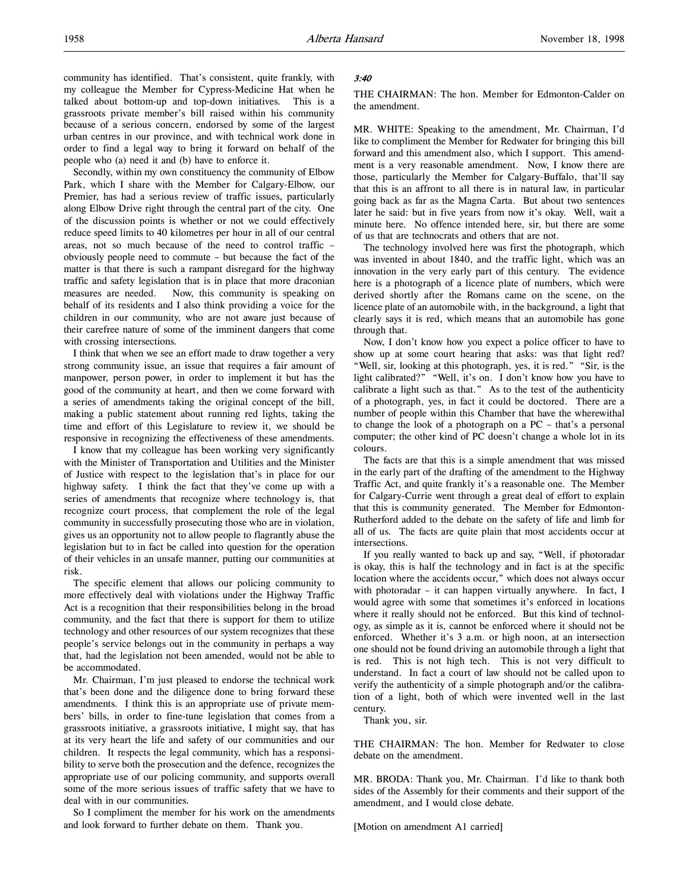community has identified. That's consistent, quite frankly, with my colleague the Member for Cypress-Medicine Hat when he talked about bottom-up and top-down initiatives. This is a grassroots private member's bill raised within his community because of a serious concern, endorsed by some of the largest urban centres in our province, and with technical work done in order to find a legal way to bring it forward on behalf of the people who (a) need it and (b) have to enforce it.

Secondly, within my own constituency the community of Elbow Park, which I share with the Member for Calgary-Elbow, our Premier, has had a serious review of traffic issues, particularly along Elbow Drive right through the central part of the city. One of the discussion points is whether or not we could effectively reduce speed limits to 40 kilometres per hour in all of our central areas, not so much because of the need to control traffic – obviously people need to commute – but because the fact of the matter is that there is such a rampant disregard for the highway traffic and safety legislation that is in place that more draconian measures are needed. Now, this community is speaking on behalf of its residents and I also think providing a voice for the children in our community, who are not aware just because of their carefree nature of some of the imminent dangers that come with crossing intersections.

I think that when we see an effort made to draw together a very strong community issue, an issue that requires a fair amount of manpower, person power, in order to implement it but has the good of the community at heart, and then we come forward with a series of amendments taking the original concept of the bill, making a public statement about running red lights, taking the time and effort of this Legislature to review it, we should be responsive in recognizing the effectiveness of these amendments.

I know that my colleague has been working very significantly with the Minister of Transportation and Utilities and the Minister of Justice with respect to the legislation that's in place for our highway safety. I think the fact that they've come up with a series of amendments that recognize where technology is, that recognize court process, that complement the role of the legal community in successfully prosecuting those who are in violation, gives us an opportunity not to allow people to flagrantly abuse the legislation but to in fact be called into question for the operation of their vehicles in an unsafe manner, putting our communities at risk.

The specific element that allows our policing community to more effectively deal with violations under the Highway Traffic Act is a recognition that their responsibilities belong in the broad community, and the fact that there is support for them to utilize technology and other resources of our system recognizes that these people's service belongs out in the community in perhaps a way that, had the legislation not been amended, would not be able to be accommodated.

Mr. Chairman, I'm just pleased to endorse the technical work that's been done and the diligence done to bring forward these amendments. I think this is an appropriate use of private members' bills, in order to fine-tune legislation that comes from a grassroots initiative, a grassroots initiative, I might say, that has at its very heart the life and safety of our communities and our children. It respects the legal community, which has a responsibility to serve both the prosecution and the defence, recognizes the appropriate use of our policing community, and supports overall some of the more serious issues of traffic safety that we have to deal with in our communities.

So I compliment the member for his work on the amendments and look forward to further debate on them. Thank you.

#### 3:40

THE CHAIRMAN: The hon. Member for Edmonton-Calder on the amendment.

MR. WHITE: Speaking to the amendment, Mr. Chairman, I'd like to compliment the Member for Redwater for bringing this bill forward and this amendment also, which I support. This amendment is a very reasonable amendment. Now, I know there are those, particularly the Member for Calgary-Buffalo, that'll say that this is an affront to all there is in natural law, in particular going back as far as the Magna Carta. But about two sentences later he said: but in five years from now it's okay. Well, wait a minute here. No offence intended here, sir, but there are some of us that are technocrats and others that are not.

The technology involved here was first the photograph, which was invented in about 1840, and the traffic light, which was an innovation in the very early part of this century. The evidence here is a photograph of a licence plate of numbers, which were derived shortly after the Romans came on the scene, on the licence plate of an automobile with, in the background, a light that clearly says it is red, which means that an automobile has gone through that.

Now, I don't know how you expect a police officer to have to show up at some court hearing that asks: was that light red? "Well, sir, looking at this photograph, yes, it is red." "Sir, is the light calibrated?" "Well, it's on. I don't know how you have to calibrate a light such as that." As to the test of the authenticity of a photograph, yes, in fact it could be doctored. There are a number of people within this Chamber that have the wherewithal to change the look of a photograph on a PC – that's a personal computer; the other kind of PC doesn't change a whole lot in its colours.

The facts are that this is a simple amendment that was missed in the early part of the drafting of the amendment to the Highway Traffic Act, and quite frankly it's a reasonable one. The Member for Calgary-Currie went through a great deal of effort to explain that this is community generated. The Member for Edmonton-Rutherford added to the debate on the safety of life and limb for all of us. The facts are quite plain that most accidents occur at intersections.

If you really wanted to back up and say, "Well, if photoradar is okay, this is half the technology and in fact is at the specific location where the accidents occur," which does not always occur with photoradar – it can happen virtually anywhere. In fact, I would agree with some that sometimes it's enforced in locations where it really should not be enforced. But this kind of technology, as simple as it is, cannot be enforced where it should not be enforced. Whether it's 3 a.m. or high noon, at an intersection one should not be found driving an automobile through a light that is red. This is not high tech. This is not very difficult to understand. In fact a court of law should not be called upon to verify the authenticity of a simple photograph and/or the calibration of a light, both of which were invented well in the last century.

Thank you, sir.

THE CHAIRMAN: The hon. Member for Redwater to close debate on the amendment.

MR. BRODA: Thank you, Mr. Chairman. I'd like to thank both sides of the Assembly for their comments and their support of the amendment, and I would close debate.

[Motion on amendment A1 carried]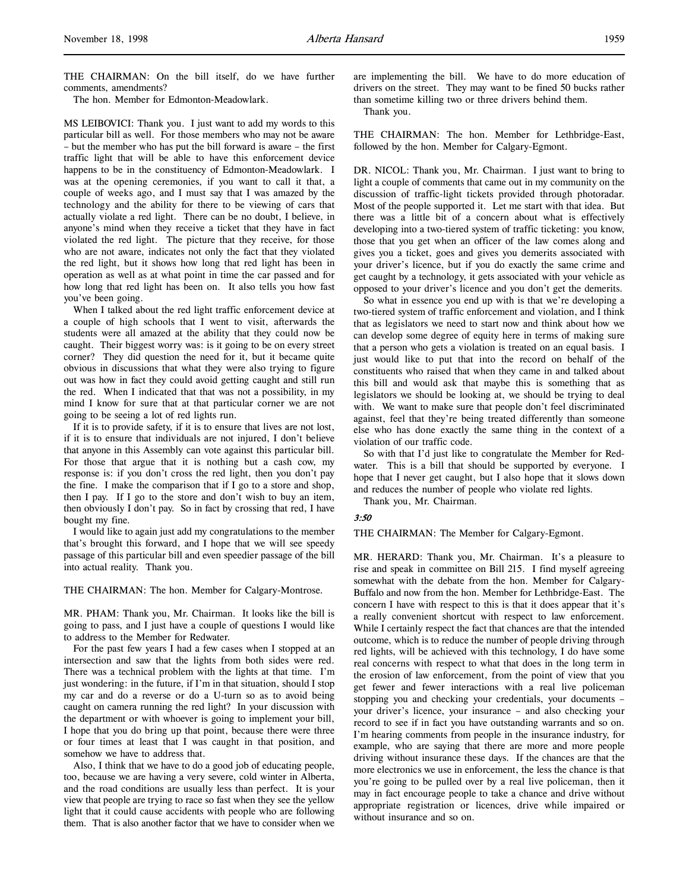THE CHAIRMAN: On the bill itself, do we have further comments, amendments?

The hon. Member for Edmonton-Meadowlark.

MS LEIBOVICI: Thank you. I just want to add my words to this particular bill as well. For those members who may not be aware – but the member who has put the bill forward is aware – the first traffic light that will be able to have this enforcement device happens to be in the constituency of Edmonton-Meadowlark. I was at the opening ceremonies, if you want to call it that, a couple of weeks ago, and I must say that I was amazed by the technology and the ability for there to be viewing of cars that actually violate a red light. There can be no doubt, I believe, in anyone's mind when they receive a ticket that they have in fact violated the red light. The picture that they receive, for those who are not aware, indicates not only the fact that they violated the red light, but it shows how long that red light has been in operation as well as at what point in time the car passed and for how long that red light has been on. It also tells you how fast you've been going.

When I talked about the red light traffic enforcement device at a couple of high schools that I went to visit, afterwards the students were all amazed at the ability that they could now be caught. Their biggest worry was: is it going to be on every street corner? They did question the need for it, but it became quite obvious in discussions that what they were also trying to figure out was how in fact they could avoid getting caught and still run the red. When I indicated that that was not a possibility, in my mind I know for sure that at that particular corner we are not going to be seeing a lot of red lights run.

If it is to provide safety, if it is to ensure that lives are not lost, if it is to ensure that individuals are not injured, I don't believe that anyone in this Assembly can vote against this particular bill. For those that argue that it is nothing but a cash cow, my response is: if you don't cross the red light, then you don't pay the fine. I make the comparison that if I go to a store and shop, then I pay. If I go to the store and don't wish to buy an item, then obviously I don't pay. So in fact by crossing that red, I have bought my fine.

I would like to again just add my congratulations to the member that's brought this forward, and I hope that we will see speedy passage of this particular bill and even speedier passage of the bill into actual reality. Thank you.

#### THE CHAIRMAN: The hon. Member for Calgary-Montrose.

MR. PHAM: Thank you, Mr. Chairman. It looks like the bill is going to pass, and I just have a couple of questions I would like to address to the Member for Redwater.

For the past few years I had a few cases when I stopped at an intersection and saw that the lights from both sides were red. There was a technical problem with the lights at that time. I'm just wondering: in the future, if I'm in that situation, should I stop my car and do a reverse or do a U-turn so as to avoid being caught on camera running the red light? In your discussion with the department or with whoever is going to implement your bill, I hope that you do bring up that point, because there were three or four times at least that I was caught in that position, and somehow we have to address that.

Also, I think that we have to do a good job of educating people, too, because we are having a very severe, cold winter in Alberta, and the road conditions are usually less than perfect. It is your view that people are trying to race so fast when they see the yellow light that it could cause accidents with people who are following them. That is also another factor that we have to consider when we

are implementing the bill. We have to do more education of drivers on the street. They may want to be fined 50 bucks rather than sometime killing two or three drivers behind them.

Thank you.

THE CHAIRMAN: The hon. Member for Lethbridge-East, followed by the hon. Member for Calgary-Egmont.

DR. NICOL: Thank you, Mr. Chairman. I just want to bring to light a couple of comments that came out in my community on the discussion of traffic-light tickets provided through photoradar. Most of the people supported it. Let me start with that idea. But there was a little bit of a concern about what is effectively developing into a two-tiered system of traffic ticketing: you know, those that you get when an officer of the law comes along and gives you a ticket, goes and gives you demerits associated with your driver's licence, but if you do exactly the same crime and get caught by a technology, it gets associated with your vehicle as opposed to your driver's licence and you don't get the demerits.

So what in essence you end up with is that we're developing a two-tiered system of traffic enforcement and violation, and I think that as legislators we need to start now and think about how we can develop some degree of equity here in terms of making sure that a person who gets a violation is treated on an equal basis. I just would like to put that into the record on behalf of the constituents who raised that when they came in and talked about this bill and would ask that maybe this is something that as legislators we should be looking at, we should be trying to deal with. We want to make sure that people don't feel discriminated against, feel that they're being treated differently than someone else who has done exactly the same thing in the context of a violation of our traffic code.

So with that I'd just like to congratulate the Member for Redwater. This is a bill that should be supported by everyone. I hope that I never get caught, but I also hope that it slows down and reduces the number of people who violate red lights.

Thank you, Mr. Chairman.

## 3:50

THE CHAIRMAN: The Member for Calgary-Egmont.

MR. HERARD: Thank you, Mr. Chairman. It's a pleasure to rise and speak in committee on Bill 215. I find myself agreeing somewhat with the debate from the hon. Member for Calgary-Buffalo and now from the hon. Member for Lethbridge-East. The concern I have with respect to this is that it does appear that it's a really convenient shortcut with respect to law enforcement. While I certainly respect the fact that chances are that the intended outcome, which is to reduce the number of people driving through red lights, will be achieved with this technology, I do have some real concerns with respect to what that does in the long term in the erosion of law enforcement, from the point of view that you get fewer and fewer interactions with a real live policeman stopping you and checking your credentials, your documents – your driver's licence, your insurance – and also checking your record to see if in fact you have outstanding warrants and so on. I'm hearing comments from people in the insurance industry, for example, who are saying that there are more and more people driving without insurance these days. If the chances are that the more electronics we use in enforcement, the less the chance is that you're going to be pulled over by a real live policeman, then it may in fact encourage people to take a chance and drive without appropriate registration or licences, drive while impaired or without insurance and so on.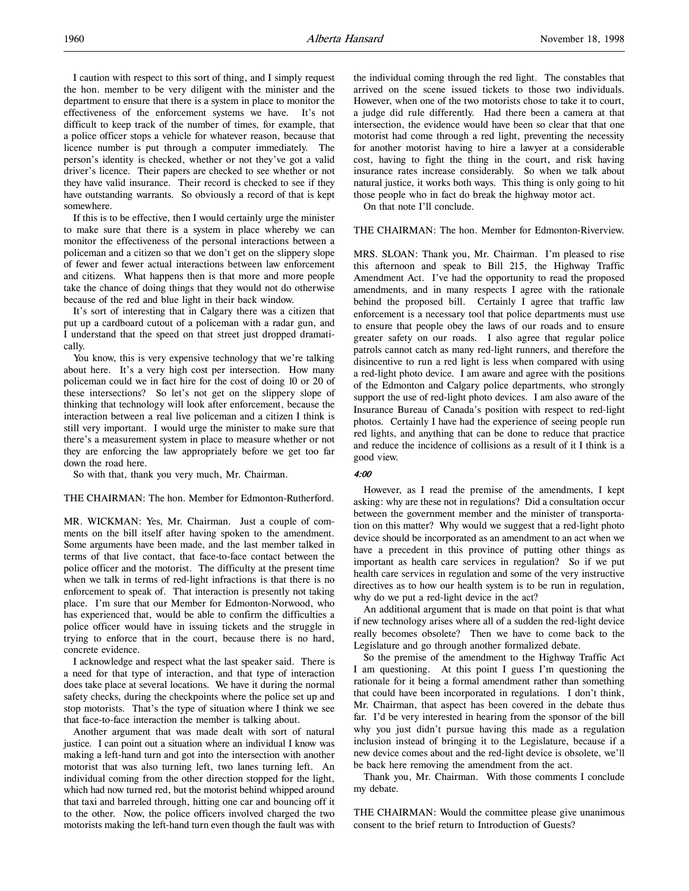I caution with respect to this sort of thing, and I simply request the hon. member to be very diligent with the minister and the department to ensure that there is a system in place to monitor the effectiveness of the enforcement systems we have. It's not difficult to keep track of the number of times, for example, that a police officer stops a vehicle for whatever reason, because that licence number is put through a computer immediately. The person's identity is checked, whether or not they've got a valid driver's licence. Their papers are checked to see whether or not they have valid insurance. Their record is checked to see if they have outstanding warrants. So obviously a record of that is kept somewhere.

If this is to be effective, then I would certainly urge the minister to make sure that there is a system in place whereby we can monitor the effectiveness of the personal interactions between a policeman and a citizen so that we don't get on the slippery slope of fewer and fewer actual interactions between law enforcement and citizens. What happens then is that more and more people take the chance of doing things that they would not do otherwise because of the red and blue light in their back window.

It's sort of interesting that in Calgary there was a citizen that put up a cardboard cutout of a policeman with a radar gun, and I understand that the speed on that street just dropped dramatically.

You know, this is very expensive technology that we're talking about here. It's a very high cost per intersection. How many policeman could we in fact hire for the cost of doing 10 or 20 of these intersections? So let's not get on the slippery slope of thinking that technology will look after enforcement, because the interaction between a real live policeman and a citizen I think is still very important. I would urge the minister to make sure that there's a measurement system in place to measure whether or not they are enforcing the law appropriately before we get too far down the road here.

So with that, thank you very much, Mr. Chairman.

#### THE CHAIRMAN: The hon. Member for Edmonton-Rutherford.

MR. WICKMAN: Yes, Mr. Chairman. Just a couple of comments on the bill itself after having spoken to the amendment. Some arguments have been made, and the last member talked in terms of that live contact, that face-to-face contact between the police officer and the motorist. The difficulty at the present time when we talk in terms of red-light infractions is that there is no enforcement to speak of. That interaction is presently not taking place. I'm sure that our Member for Edmonton-Norwood, who has experienced that, would be able to confirm the difficulties a police officer would have in issuing tickets and the struggle in trying to enforce that in the court, because there is no hard, concrete evidence.

I acknowledge and respect what the last speaker said. There is a need for that type of interaction, and that type of interaction does take place at several locations. We have it during the normal safety checks, during the checkpoints where the police set up and stop motorists. That's the type of situation where I think we see that face-to-face interaction the member is talking about.

Another argument that was made dealt with sort of natural justice. I can point out a situation where an individual I know was making a left-hand turn and got into the intersection with another motorist that was also turning left, two lanes turning left. An individual coming from the other direction stopped for the light, which had now turned red, but the motorist behind whipped around that taxi and barreled through, hitting one car and bouncing off it to the other. Now, the police officers involved charged the two motorists making the left-hand turn even though the fault was with

the individual coming through the red light. The constables that arrived on the scene issued tickets to those two individuals. However, when one of the two motorists chose to take it to court, a judge did rule differently. Had there been a camera at that intersection, the evidence would have been so clear that that one motorist had come through a red light, preventing the necessity for another motorist having to hire a lawyer at a considerable cost, having to fight the thing in the court, and risk having insurance rates increase considerably. So when we talk about natural justice, it works both ways. This thing is only going to hit those people who in fact do break the highway motor act.

On that note I'll conclude.

#### THE CHAIRMAN: The hon. Member for Edmonton-Riverview.

MRS. SLOAN: Thank you, Mr. Chairman. I'm pleased to rise this afternoon and speak to Bill 215, the Highway Traffic Amendment Act. I've had the opportunity to read the proposed amendments, and in many respects I agree with the rationale behind the proposed bill. Certainly I agree that traffic law enforcement is a necessary tool that police departments must use to ensure that people obey the laws of our roads and to ensure greater safety on our roads. I also agree that regular police patrols cannot catch as many red-light runners, and therefore the disincentive to run a red light is less when compared with using a red-light photo device. I am aware and agree with the positions of the Edmonton and Calgary police departments, who strongly support the use of red-light photo devices. I am also aware of the Insurance Bureau of Canada's position with respect to red-light photos. Certainly I have had the experience of seeing people run red lights, and anything that can be done to reduce that practice and reduce the incidence of collisions as a result of it I think is a good view.

#### 4:00

However, as I read the premise of the amendments, I kept asking: why are these not in regulations? Did a consultation occur between the government member and the minister of transportation on this matter? Why would we suggest that a red-light photo device should be incorporated as an amendment to an act when we have a precedent in this province of putting other things as important as health care services in regulation? So if we put health care services in regulation and some of the very instructive directives as to how our health system is to be run in regulation, why do we put a red-light device in the act?

An additional argument that is made on that point is that what if new technology arises where all of a sudden the red-light device really becomes obsolete? Then we have to come back to the Legislature and go through another formalized debate.

So the premise of the amendment to the Highway Traffic Act I am questioning. At this point I guess I'm questioning the rationale for it being a formal amendment rather than something that could have been incorporated in regulations. I don't think, Mr. Chairman, that aspect has been covered in the debate thus far. I'd be very interested in hearing from the sponsor of the bill why you just didn't pursue having this made as a regulation inclusion instead of bringing it to the Legislature, because if a new device comes about and the red-light device is obsolete, we'll be back here removing the amendment from the act.

Thank you, Mr. Chairman. With those comments I conclude my debate.

THE CHAIRMAN: Would the committee please give unanimous consent to the brief return to Introduction of Guests?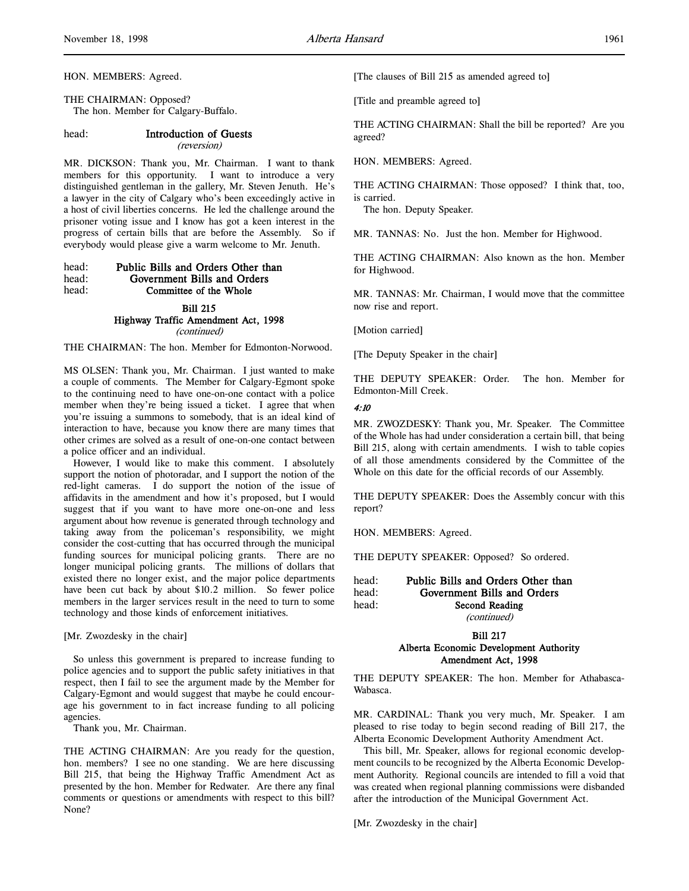HON. MEMBERS: Agreed.

THE CHAIRMAN: Opposed? The hon. Member for Calgary-Buffalo.

#### head: Introduction of Guests

#### (reversion)

MR. DICKSON: Thank you, Mr. Chairman. I want to thank members for this opportunity. I want to introduce a very distinguished gentleman in the gallery, Mr. Steven Jenuth. He's a lawyer in the city of Calgary who's been exceedingly active in a host of civil liberties concerns. He led the challenge around the prisoner voting issue and I know has got a keen interest in the progress of certain bills that are before the Assembly. So if everybody would please give a warm welcome to Mr. Jenuth.

## head: Public Bills and Orders Other than head: Government Bills and Orders head: Committee of the Whole

#### Bill 215

## Highway Traffic Amendment Act, 1998

(continued)

THE CHAIRMAN: The hon. Member for Edmonton-Norwood.

MS OLSEN: Thank you, Mr. Chairman. I just wanted to make a couple of comments. The Member for Calgary-Egmont spoke to the continuing need to have one-on-one contact with a police member when they're being issued a ticket. I agree that when you're issuing a summons to somebody, that is an ideal kind of interaction to have, because you know there are many times that other crimes are solved as a result of one-on-one contact between a police officer and an individual.

However, I would like to make this comment. I absolutely support the notion of photoradar, and I support the notion of the red-light cameras. I do support the notion of the issue of affidavits in the amendment and how it's proposed, but I would suggest that if you want to have more one-on-one and less argument about how revenue is generated through technology and taking away from the policeman's responsibility, we might consider the cost-cutting that has occurred through the municipal funding sources for municipal policing grants. There are no longer municipal policing grants. The millions of dollars that existed there no longer exist, and the major police departments have been cut back by about \$10.2 million. So fewer police members in the larger services result in the need to turn to some technology and those kinds of enforcement initiatives.

[Mr. Zwozdesky in the chair]

So unless this government is prepared to increase funding to police agencies and to support the public safety initiatives in that respect, then I fail to see the argument made by the Member for Calgary-Egmont and would suggest that maybe he could encourage his government to in fact increase funding to all policing agencies.

Thank you, Mr. Chairman.

THE ACTING CHAIRMAN: Are you ready for the question, hon. members? I see no one standing. We are here discussing Bill 215, that being the Highway Traffic Amendment Act as presented by the hon. Member for Redwater. Are there any final comments or questions or amendments with respect to this bill? None?

[The clauses of Bill 215 as amended agreed to]

[Title and preamble agreed to]

THE ACTING CHAIRMAN: Shall the bill be reported? Are you agreed?

HON. MEMBERS: Agreed.

THE ACTING CHAIRMAN: Those opposed? I think that, too, is carried.

The hon. Deputy Speaker.

MR. TANNAS: No. Just the hon. Member for Highwood.

THE ACTING CHAIRMAN: Also known as the hon. Member for Highwood.

MR. TANNAS: Mr. Chairman, I would move that the committee now rise and report.

[Motion carried]

[The Deputy Speaker in the chair]

THE DEPUTY SPEAKER: Order. The hon. Member for Edmonton-Mill Creek.

4:10

MR. ZWOZDESKY: Thank you, Mr. Speaker. The Committee of the Whole has had under consideration a certain bill, that being Bill 215, along with certain amendments. I wish to table copies of all those amendments considered by the Committee of the Whole on this date for the official records of our Assembly.

THE DEPUTY SPEAKER: Does the Assembly concur with this report?

HON. MEMBERS: Agreed.

THE DEPUTY SPEAKER: Opposed? So ordered.

head: Public Bills and Orders Other than head: Government Bills and Orders head: Second Reading (continued)

> Bill 217 Alberta Economic Development Authority Amendment Act, 1998

THE DEPUTY SPEAKER: The hon. Member for Athabasca-Wabasca.

MR. CARDINAL: Thank you very much, Mr. Speaker. I am pleased to rise today to begin second reading of Bill 217, the Alberta Economic Development Authority Amendment Act.

This bill, Mr. Speaker, allows for regional economic development councils to be recognized by the Alberta Economic Development Authority. Regional councils are intended to fill a void that was created when regional planning commissions were disbanded after the introduction of the Municipal Government Act.

[Mr. Zwozdesky in the chair]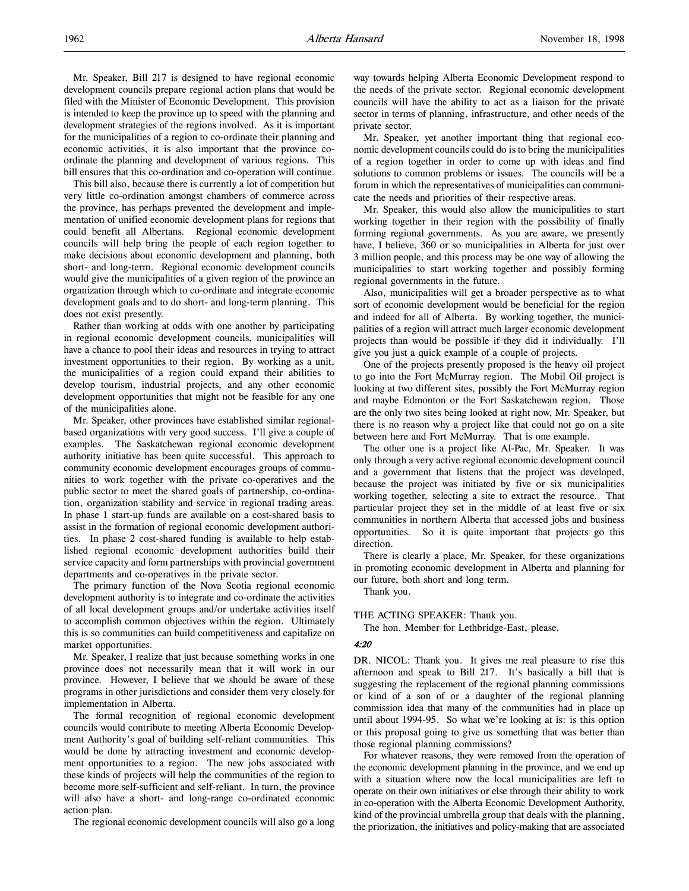This bill also, because there is currently a lot of competition but very little co-ordination amongst chambers of commerce across the province, has perhaps prevented the development and implementation of unified economic development plans for regions that could benefit all Albertans. Regional economic development councils will help bring the people of each region together to make decisions about economic development and planning, both short- and long-term. Regional economic development councils would give the municipalities of a given region of the province an organization through which to co-ordinate and integrate economic development goals and to do short- and long-term planning. This does not exist presently.

Rather than working at odds with one another by participating in regional economic development councils, municipalities will have a chance to pool their ideas and resources in trying to attract investment opportunities to their region. By working as a unit, the municipalities of a region could expand their abilities to develop tourism, industrial projects, and any other economic development opportunities that might not be feasible for any one of the municipalities alone.

Mr. Speaker, other provinces have established similar regionalbased organizations with very good success. I'll give a couple of examples. The Saskatchewan regional economic development authority initiative has been quite successful. This approach to community economic development encourages groups of communities to work together with the private co-operatives and the public sector to meet the shared goals of partnership, co-ordination, organization stability and service in regional trading areas. In phase 1 start-up funds are available on a cost-shared basis to assist in the formation of regional economic development authorities. In phase 2 cost-shared funding is available to help established regional economic development authorities build their service capacity and form partnerships with provincial government departments and co-operatives in the private sector.

The primary function of the Nova Scotia regional economic development authority is to integrate and co-ordinate the activities of all local development groups and/or undertake activities itself to accomplish common objectives within the region. Ultimately this is so communities can build competitiveness and capitalize on market opportunities.

Mr. Speaker, I realize that just because something works in one province does not necessarily mean that it will work in our province. However, I believe that we should be aware of these programs in other jurisdictions and consider them very closely for implementation in Alberta.

The formal recognition of regional economic development councils would contribute to meeting Alberta Economic Development Authority's goal of building self-reliant communities. This would be done by attracting investment and economic development opportunities to a region. The new jobs associated with these kinds of projects will help the communities of the region to become more self-sufficient and self-reliant. In turn, the province will also have a short- and long-range co-ordinated economic action plan.

The regional economic development councils will also go a long

way towards helping Alberta Economic Development respond to the needs of the private sector. Regional economic development councils will have the ability to act as a liaison for the private sector in terms of planning, infrastructure, and other needs of the private sector.

Mr. Speaker, yet another important thing that regional economic development councils could do is to bring the municipalities of a region together in order to come up with ideas and find solutions to common problems or issues. The councils will be a forum in which the representatives of municipalities can communicate the needs and priorities of their respective areas.

Mr. Speaker, this would also allow the municipalities to start working together in their region with the possibility of finally forming regional governments. As you are aware, we presently have, I believe, 360 or so municipalities in Alberta for just over 3 million people, and this process may be one way of allowing the municipalities to start working together and possibly forming regional governments in the future.

Also, municipalities will get a broader perspective as to what sort of economic development would be beneficial for the region and indeed for all of Alberta. By working together, the municipalities of a region will attract much larger economic development projects than would be possible if they did it individually. I'll give you just a quick example of a couple of projects.

One of the projects presently proposed is the heavy oil project to go into the Fort McMurray region. The Mobil Oil project is looking at two different sites, possibly the Fort McMurray region and maybe Edmonton or the Fort Saskatchewan region. Those are the only two sites being looked at right now, Mr. Speaker, but there is no reason why a project like that could not go on a site between here and Fort McMurray. That is one example.

The other one is a project like Al-Pac, Mr. Speaker. It was only through a very active regional economic development council and a government that listens that the project was developed, because the project was initiated by five or six municipalities working together, selecting a site to extract the resource. That particular project they set in the middle of at least five or six communities in northern Alberta that accessed jobs and business opportunities. So it is quite important that projects go this direction.

There is clearly a place, Mr. Speaker, for these organizations in promoting economic development in Alberta and planning for our future, both short and long term.

Thank you.

THE ACTING SPEAKER: Thank you.

The hon. Member for Lethbridge-East, please.

#### 4:20

DR. NICOL: Thank you. It gives me real pleasure to rise this afternoon and speak to Bill 217. It's basically a bill that is suggesting the replacement of the regional planning commissions or kind of a son of or a daughter of the regional planning commission idea that many of the communities had in place up until about 1994-95. So what we're looking at is: is this option or this proposal going to give us something that was better than those regional planning commissions?

For whatever reasons, they were removed from the operation of the economic development planning in the province, and we end up with a situation where now the local municipalities are left to operate on their own initiatives or else through their ability to work in co-operation with the Alberta Economic Development Authority, kind of the provincial umbrella group that deals with the planning, the priorization, the initiatives and policy-making that are associated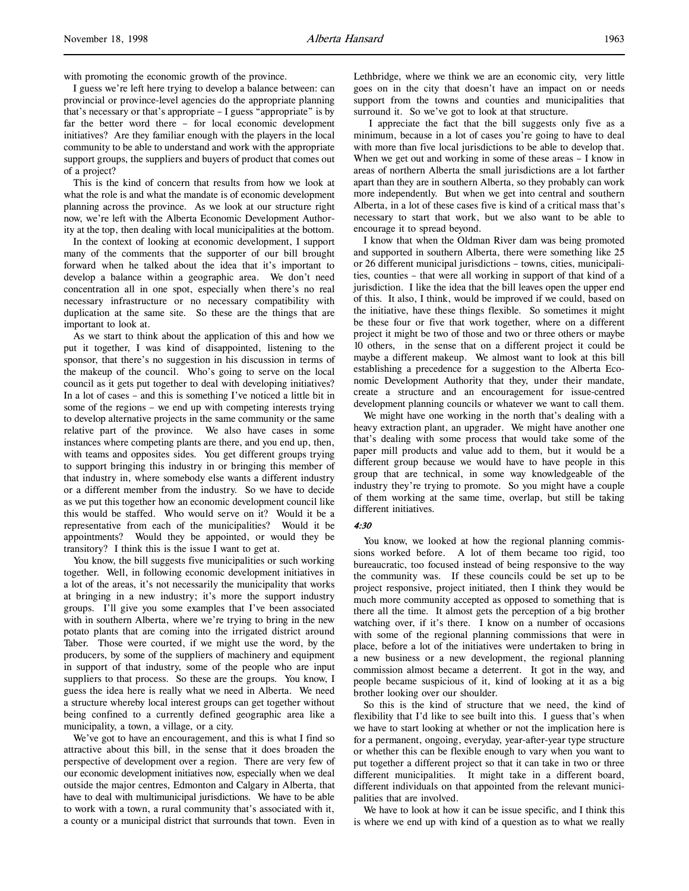with promoting the economic growth of the province.

I guess we're left here trying to develop a balance between: can provincial or province-level agencies do the appropriate planning that's necessary or that's appropriate – I guess "appropriate" is by far the better word there – for local economic development initiatives? Are they familiar enough with the players in the local community to be able to understand and work with the appropriate support groups, the suppliers and buyers of product that comes out of a project?

This is the kind of concern that results from how we look at what the role is and what the mandate is of economic development planning across the province. As we look at our structure right now, we're left with the Alberta Economic Development Authority at the top, then dealing with local municipalities at the bottom.

In the context of looking at economic development, I support many of the comments that the supporter of our bill brought forward when he talked about the idea that it's important to develop a balance within a geographic area. We don't need concentration all in one spot, especially when there's no real necessary infrastructure or no necessary compatibility with duplication at the same site. So these are the things that are important to look at.

As we start to think about the application of this and how we put it together, I was kind of disappointed, listening to the sponsor, that there's no suggestion in his discussion in terms of the makeup of the council. Who's going to serve on the local council as it gets put together to deal with developing initiatives? In a lot of cases – and this is something I've noticed a little bit in some of the regions – we end up with competing interests trying to develop alternative projects in the same community or the same relative part of the province. We also have cases in some instances where competing plants are there, and you end up, then, with teams and opposites sides. You get different groups trying to support bringing this industry in or bringing this member of that industry in, where somebody else wants a different industry or a different member from the industry. So we have to decide as we put this together how an economic development council like this would be staffed. Who would serve on it? Would it be a representative from each of the municipalities? Would it be appointments? Would they be appointed, or would they be transitory? I think this is the issue I want to get at.

You know, the bill suggests five municipalities or such working together. Well, in following economic development initiatives in a lot of the areas, it's not necessarily the municipality that works at bringing in a new industry; it's more the support industry groups. I'll give you some examples that I've been associated with in southern Alberta, where we're trying to bring in the new potato plants that are coming into the irrigated district around Taber. Those were courted, if we might use the word, by the producers, by some of the suppliers of machinery and equipment in support of that industry, some of the people who are input suppliers to that process. So these are the groups. You know, I guess the idea here is really what we need in Alberta. We need a structure whereby local interest groups can get together without being confined to a currently defined geographic area like a municipality, a town, a village, or a city.

We've got to have an encouragement, and this is what I find so attractive about this bill, in the sense that it does broaden the perspective of development over a region. There are very few of our economic development initiatives now, especially when we deal outside the major centres, Edmonton and Calgary in Alberta, that have to deal with multimunicipal jurisdictions. We have to be able to work with a town, a rural community that's associated with it, a county or a municipal district that surrounds that town. Even in

Lethbridge, where we think we are an economic city, very little goes on in the city that doesn't have an impact on or needs support from the towns and counties and municipalities that surround it. So we've got to look at that structure.

 I appreciate the fact that the bill suggests only five as a minimum, because in a lot of cases you're going to have to deal with more than five local jurisdictions to be able to develop that. When we get out and working in some of these areas - I know in areas of northern Alberta the small jurisdictions are a lot farther apart than they are in southern Alberta, so they probably can work more independently. But when we get into central and southern Alberta, in a lot of these cases five is kind of a critical mass that's necessary to start that work, but we also want to be able to encourage it to spread beyond.

I know that when the Oldman River dam was being promoted and supported in southern Alberta, there were something like 25 or 26 different municipal jurisdictions – towns, cities, municipalities, counties – that were all working in support of that kind of a jurisdiction. I like the idea that the bill leaves open the upper end of this. It also, I think, would be improved if we could, based on the initiative, have these things flexible. So sometimes it might be these four or five that work together, where on a different project it might be two of those and two or three others or maybe 10 others, in the sense that on a different project it could be maybe a different makeup. We almost want to look at this bill establishing a precedence for a suggestion to the Alberta Economic Development Authority that they, under their mandate, create a structure and an encouragement for issue-centred development planning councils or whatever we want to call them.

We might have one working in the north that's dealing with a heavy extraction plant, an upgrader. We might have another one that's dealing with some process that would take some of the paper mill products and value add to them, but it would be a different group because we would have to have people in this group that are technical, in some way knowledgeable of the industry they're trying to promote. So you might have a couple of them working at the same time, overlap, but still be taking different initiatives.

#### 4:30

You know, we looked at how the regional planning commissions worked before. A lot of them became too rigid, too bureaucratic, too focused instead of being responsive to the way the community was. If these councils could be set up to be project responsive, project initiated, then I think they would be much more community accepted as opposed to something that is there all the time. It almost gets the perception of a big brother watching over, if it's there. I know on a number of occasions with some of the regional planning commissions that were in place, before a lot of the initiatives were undertaken to bring in a new business or a new development, the regional planning commission almost became a deterrent. It got in the way, and people became suspicious of it, kind of looking at it as a big brother looking over our shoulder.

So this is the kind of structure that we need, the kind of flexibility that I'd like to see built into this. I guess that's when we have to start looking at whether or not the implication here is for a permanent, ongoing, everyday, year-after-year type structure or whether this can be flexible enough to vary when you want to put together a different project so that it can take in two or three different municipalities. It might take in a different board, different individuals on that appointed from the relevant municipalities that are involved.

We have to look at how it can be issue specific, and I think this is where we end up with kind of a question as to what we really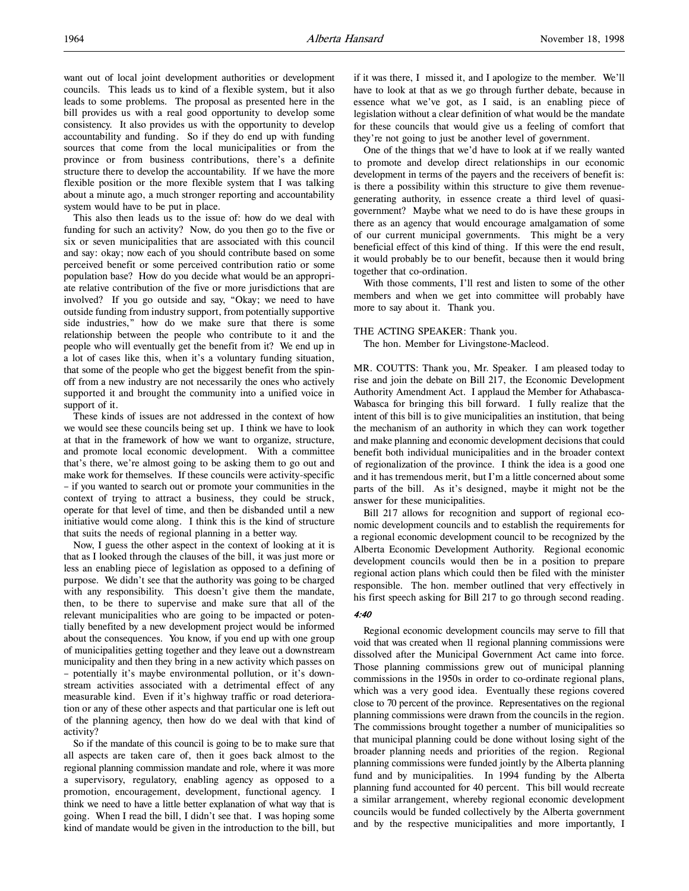want out of local joint development authorities or development councils. This leads us to kind of a flexible system, but it also leads to some problems. The proposal as presented here in the bill provides us with a real good opportunity to develop some consistency. It also provides us with the opportunity to develop accountability and funding. So if they do end up with funding sources that come from the local municipalities or from the province or from business contributions, there's a definite structure there to develop the accountability. If we have the more flexible position or the more flexible system that I was talking about a minute ago, a much stronger reporting and accountability system would have to be put in place.

This also then leads us to the issue of: how do we deal with funding for such an activity? Now, do you then go to the five or six or seven municipalities that are associated with this council and say: okay; now each of you should contribute based on some perceived benefit or some perceived contribution ratio or some population base? How do you decide what would be an appropriate relative contribution of the five or more jurisdictions that are involved? If you go outside and say, "Okay; we need to have outside funding from industry support, from potentially supportive side industries," how do we make sure that there is some relationship between the people who contribute to it and the people who will eventually get the benefit from it? We end up in a lot of cases like this, when it's a voluntary funding situation, that some of the people who get the biggest benefit from the spinoff from a new industry are not necessarily the ones who actively supported it and brought the community into a unified voice in support of it.

These kinds of issues are not addressed in the context of how we would see these councils being set up. I think we have to look at that in the framework of how we want to organize, structure, and promote local economic development. With a committee that's there, we're almost going to be asking them to go out and make work for themselves. If these councils were activity-specific – if you wanted to search out or promote your communities in the context of trying to attract a business, they could be struck, operate for that level of time, and then be disbanded until a new initiative would come along. I think this is the kind of structure that suits the needs of regional planning in a better way.

Now, I guess the other aspect in the context of looking at it is that as I looked through the clauses of the bill, it was just more or less an enabling piece of legislation as opposed to a defining of purpose. We didn't see that the authority was going to be charged with any responsibility. This doesn't give them the mandate, then, to be there to supervise and make sure that all of the relevant municipalities who are going to be impacted or potentially benefited by a new development project would be informed about the consequences. You know, if you end up with one group of municipalities getting together and they leave out a downstream municipality and then they bring in a new activity which passes on – potentially it's maybe environmental pollution, or it's downstream activities associated with a detrimental effect of any measurable kind. Even if it's highway traffic or road deterioration or any of these other aspects and that particular one is left out of the planning agency, then how do we deal with that kind of activity?

So if the mandate of this council is going to be to make sure that all aspects are taken care of, then it goes back almost to the regional planning commission mandate and role, where it was more a supervisory, regulatory, enabling agency as opposed to a promotion, encouragement, development, functional agency. I think we need to have a little better explanation of what way that is going. When I read the bill, I didn't see that. I was hoping some kind of mandate would be given in the introduction to the bill, but if it was there, I missed it, and I apologize to the member. We'll have to look at that as we go through further debate, because in essence what we've got, as I said, is an enabling piece of legislation without a clear definition of what would be the mandate for these councils that would give us a feeling of comfort that they're not going to just be another level of government.

One of the things that we'd have to look at if we really wanted to promote and develop direct relationships in our economic development in terms of the payers and the receivers of benefit is: is there a possibility within this structure to give them revenuegenerating authority, in essence create a third level of quasigovernment? Maybe what we need to do is have these groups in there as an agency that would encourage amalgamation of some of our current municipal governments. This might be a very beneficial effect of this kind of thing. If this were the end result, it would probably be to our benefit, because then it would bring together that co-ordination.

With those comments, I'll rest and listen to some of the other members and when we get into committee will probably have more to say about it. Thank you.

#### THE ACTING SPEAKER: Thank you.

The hon. Member for Livingstone-Macleod.

MR. COUTTS: Thank you, Mr. Speaker. I am pleased today to rise and join the debate on Bill 217, the Economic Development Authority Amendment Act. I applaud the Member for Athabasca-Wabasca for bringing this bill forward. I fully realize that the intent of this bill is to give municipalities an institution, that being the mechanism of an authority in which they can work together and make planning and economic development decisions that could benefit both individual municipalities and in the broader context of regionalization of the province. I think the idea is a good one and it has tremendous merit, but I'm a little concerned about some parts of the bill. As it's designed, maybe it might not be the answer for these municipalities.

Bill 217 allows for recognition and support of regional economic development councils and to establish the requirements for a regional economic development council to be recognized by the Alberta Economic Development Authority. Regional economic development councils would then be in a position to prepare regional action plans which could then be filed with the minister responsible. The hon. member outlined that very effectively in his first speech asking for Bill 217 to go through second reading.

#### 4:40

Regional economic development councils may serve to fill that void that was created when 11 regional planning commissions were dissolved after the Municipal Government Act came into force. Those planning commissions grew out of municipal planning commissions in the 1950s in order to co-ordinate regional plans, which was a very good idea. Eventually these regions covered close to 70 percent of the province. Representatives on the regional planning commissions were drawn from the councils in the region. The commissions brought together a number of municipalities so that municipal planning could be done without losing sight of the broader planning needs and priorities of the region. Regional planning commissions were funded jointly by the Alberta planning fund and by municipalities. In 1994 funding by the Alberta planning fund accounted for 40 percent. This bill would recreate a similar arrangement, whereby regional economic development councils would be funded collectively by the Alberta government and by the respective municipalities and more importantly, I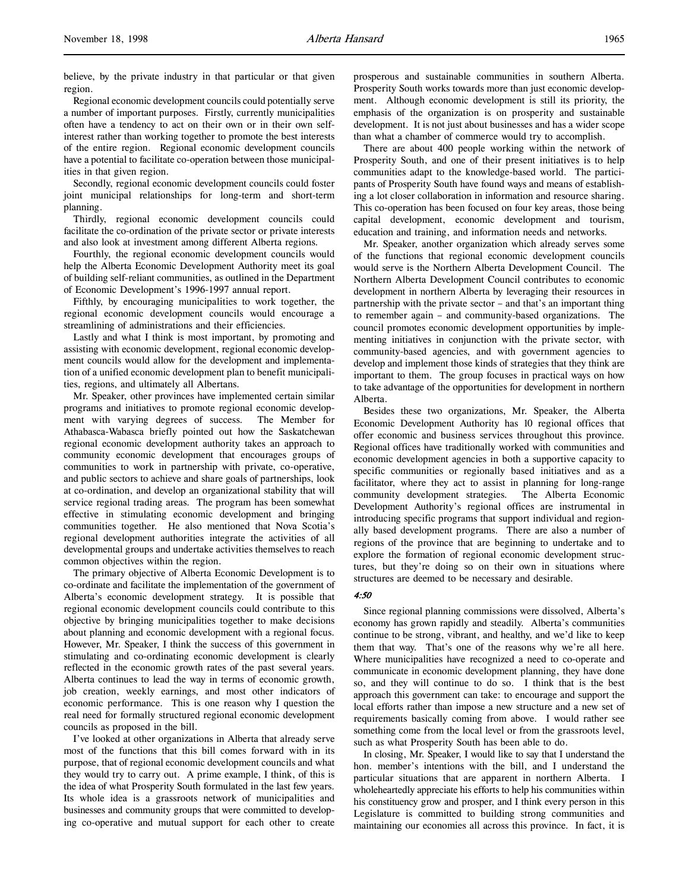believe, by the private industry in that particular or that given region.

Regional economic development councils could potentially serve a number of important purposes. Firstly, currently municipalities often have a tendency to act on their own or in their own selfinterest rather than working together to promote the best interests of the entire region. Regional economic development councils have a potential to facilitate co-operation between those municipalities in that given region.

Secondly, regional economic development councils could foster joint municipal relationships for long-term and short-term planning.

Thirdly, regional economic development councils could facilitate the co-ordination of the private sector or private interests and also look at investment among different Alberta regions.

Fourthly, the regional economic development councils would help the Alberta Economic Development Authority meet its goal of building self-reliant communities, as outlined in the Department of Economic Development's 1996-1997 annual report.

Fifthly, by encouraging municipalities to work together, the regional economic development councils would encourage a streamlining of administrations and their efficiencies.

Lastly and what I think is most important, by promoting and assisting with economic development, regional economic development councils would allow for the development and implementation of a unified economic development plan to benefit municipalities, regions, and ultimately all Albertans.

Mr. Speaker, other provinces have implemented certain similar programs and initiatives to promote regional economic development with varying degrees of success. The Member for Athabasca-Wabasca briefly pointed out how the Saskatchewan regional economic development authority takes an approach to community economic development that encourages groups of communities to work in partnership with private, co-operative, and public sectors to achieve and share goals of partnerships, look at co-ordination, and develop an organizational stability that will service regional trading areas. The program has been somewhat effective in stimulating economic development and bringing communities together. He also mentioned that Nova Scotia's regional development authorities integrate the activities of all developmental groups and undertake activities themselves to reach common objectives within the region.

The primary objective of Alberta Economic Development is to co-ordinate and facilitate the implementation of the government of Alberta's economic development strategy. It is possible that regional economic development councils could contribute to this objective by bringing municipalities together to make decisions about planning and economic development with a regional focus. However, Mr. Speaker, I think the success of this government in stimulating and co-ordinating economic development is clearly reflected in the economic growth rates of the past several years. Alberta continues to lead the way in terms of economic growth, job creation, weekly earnings, and most other indicators of economic performance. This is one reason why I question the real need for formally structured regional economic development councils as proposed in the bill.

I've looked at other organizations in Alberta that already serve most of the functions that this bill comes forward with in its purpose, that of regional economic development councils and what they would try to carry out. A prime example, I think, of this is the idea of what Prosperity South formulated in the last few years. Its whole idea is a grassroots network of municipalities and businesses and community groups that were committed to developing co-operative and mutual support for each other to create

prosperous and sustainable communities in southern Alberta. Prosperity South works towards more than just economic development. Although economic development is still its priority, the emphasis of the organization is on prosperity and sustainable development. It is not just about businesses and has a wider scope than what a chamber of commerce would try to accomplish.

There are about 400 people working within the network of Prosperity South, and one of their present initiatives is to help communities adapt to the knowledge-based world. The participants of Prosperity South have found ways and means of establishing a lot closer collaboration in information and resource sharing. This co-operation has been focused on four key areas, those being capital development, economic development and tourism, education and training, and information needs and networks.

Mr. Speaker, another organization which already serves some of the functions that regional economic development councils would serve is the Northern Alberta Development Council. The Northern Alberta Development Council contributes to economic development in northern Alberta by leveraging their resources in partnership with the private sector – and that's an important thing to remember again – and community-based organizations. The council promotes economic development opportunities by implementing initiatives in conjunction with the private sector, with community-based agencies, and with government agencies to develop and implement those kinds of strategies that they think are important to them. The group focuses in practical ways on how to take advantage of the opportunities for development in northern Alberta.

Besides these two organizations, Mr. Speaker, the Alberta Economic Development Authority has 10 regional offices that offer economic and business services throughout this province. Regional offices have traditionally worked with communities and economic development agencies in both a supportive capacity to specific communities or regionally based initiatives and as a facilitator, where they act to assist in planning for long-range community development strategies. The Alberta Economic Development Authority's regional offices are instrumental in introducing specific programs that support individual and regionally based development programs. There are also a number of regions of the province that are beginning to undertake and to explore the formation of regional economic development structures, but they're doing so on their own in situations where structures are deemed to be necessary and desirable.

#### 4:50

Since regional planning commissions were dissolved, Alberta's economy has grown rapidly and steadily. Alberta's communities continue to be strong, vibrant, and healthy, and we'd like to keep them that way. That's one of the reasons why we're all here. Where municipalities have recognized a need to co-operate and communicate in economic development planning, they have done so, and they will continue to do so. I think that is the best approach this government can take: to encourage and support the local efforts rather than impose a new structure and a new set of requirements basically coming from above. I would rather see something come from the local level or from the grassroots level, such as what Prosperity South has been able to do.

In closing, Mr. Speaker, I would like to say that I understand the hon. member's intentions with the bill, and I understand the particular situations that are apparent in northern Alberta. I wholeheartedly appreciate his efforts to help his communities within his constituency grow and prosper, and I think every person in this Legislature is committed to building strong communities and maintaining our economies all across this province. In fact, it is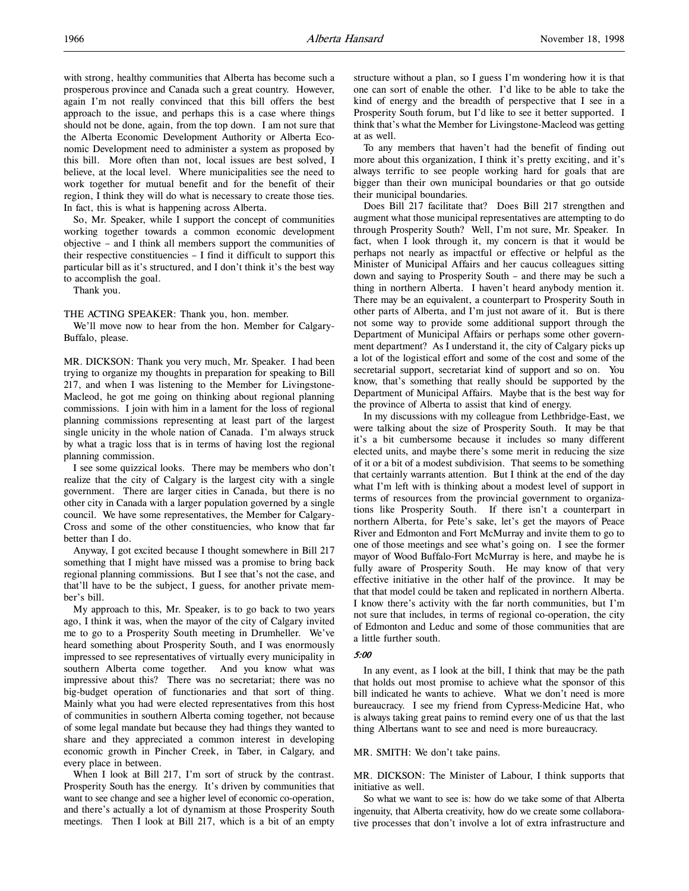with strong, healthy communities that Alberta has become such a prosperous province and Canada such a great country. However, again I'm not really convinced that this bill offers the best approach to the issue, and perhaps this is a case where things should not be done, again, from the top down. I am not sure that the Alberta Economic Development Authority or Alberta Economic Development need to administer a system as proposed by this bill. More often than not, local issues are best solved, I believe, at the local level. Where municipalities see the need to work together for mutual benefit and for the benefit of their region, I think they will do what is necessary to create those ties. In fact, this is what is happening across Alberta.

So, Mr. Speaker, while I support the concept of communities working together towards a common economic development objective – and I think all members support the communities of their respective constituencies – I find it difficult to support this particular bill as it's structured, and I don't think it's the best way to accomplish the goal.

Thank you.

THE ACTING SPEAKER: Thank you, hon. member.

We'll move now to hear from the hon. Member for Calgary-Buffalo, please.

MR. DICKSON: Thank you very much, Mr. Speaker. I had been trying to organize my thoughts in preparation for speaking to Bill 217, and when I was listening to the Member for Livingstone-Macleod, he got me going on thinking about regional planning commissions. I join with him in a lament for the loss of regional planning commissions representing at least part of the largest single unicity in the whole nation of Canada. I'm always struck by what a tragic loss that is in terms of having lost the regional planning commission.

I see some quizzical looks. There may be members who don't realize that the city of Calgary is the largest city with a single government. There are larger cities in Canada, but there is no other city in Canada with a larger population governed by a single council. We have some representatives, the Member for Calgary-Cross and some of the other constituencies, who know that far better than I do.

Anyway, I got excited because I thought somewhere in Bill 217 something that I might have missed was a promise to bring back regional planning commissions. But I see that's not the case, and that'll have to be the subject, I guess, for another private member's bill.

My approach to this, Mr. Speaker, is to go back to two years ago, I think it was, when the mayor of the city of Calgary invited me to go to a Prosperity South meeting in Drumheller. We've heard something about Prosperity South, and I was enormously impressed to see representatives of virtually every municipality in southern Alberta come together. And you know what was impressive about this? There was no secretariat; there was no big-budget operation of functionaries and that sort of thing. Mainly what you had were elected representatives from this host of communities in southern Alberta coming together, not because of some legal mandate but because they had things they wanted to share and they appreciated a common interest in developing economic growth in Pincher Creek, in Taber, in Calgary, and every place in between.

When I look at Bill 217, I'm sort of struck by the contrast. Prosperity South has the energy. It's driven by communities that want to see change and see a higher level of economic co-operation, and there's actually a lot of dynamism at those Prosperity South meetings. Then I look at Bill 217, which is a bit of an empty

structure without a plan, so I guess I'm wondering how it is that one can sort of enable the other. I'd like to be able to take the kind of energy and the breadth of perspective that I see in a Prosperity South forum, but I'd like to see it better supported. I think that's what the Member for Livingstone-Macleod was getting at as well.

To any members that haven't had the benefit of finding out more about this organization, I think it's pretty exciting, and it's always terrific to see people working hard for goals that are bigger than their own municipal boundaries or that go outside their municipal boundaries.

Does Bill 217 facilitate that? Does Bill 217 strengthen and augment what those municipal representatives are attempting to do through Prosperity South? Well, I'm not sure, Mr. Speaker. In fact, when I look through it, my concern is that it would be perhaps not nearly as impactful or effective or helpful as the Minister of Municipal Affairs and her caucus colleagues sitting down and saying to Prosperity South – and there may be such a thing in northern Alberta. I haven't heard anybody mention it. There may be an equivalent, a counterpart to Prosperity South in other parts of Alberta, and I'm just not aware of it. But is there not some way to provide some additional support through the Department of Municipal Affairs or perhaps some other government department? As I understand it, the city of Calgary picks up a lot of the logistical effort and some of the cost and some of the secretarial support, secretariat kind of support and so on. You know, that's something that really should be supported by the Department of Municipal Affairs. Maybe that is the best way for the province of Alberta to assist that kind of energy.

In my discussions with my colleague from Lethbridge-East, we were talking about the size of Prosperity South. It may be that it's a bit cumbersome because it includes so many different elected units, and maybe there's some merit in reducing the size of it or a bit of a modest subdivision. That seems to be something that certainly warrants attention. But I think at the end of the day what I'm left with is thinking about a modest level of support in terms of resources from the provincial government to organizations like Prosperity South. If there isn't a counterpart in northern Alberta, for Pete's sake, let's get the mayors of Peace River and Edmonton and Fort McMurray and invite them to go to one of those meetings and see what's going on. I see the former mayor of Wood Buffalo-Fort McMurray is here, and maybe he is fully aware of Prosperity South. He may know of that very effective initiative in the other half of the province. It may be that that model could be taken and replicated in northern Alberta. I know there's activity with the far north communities, but I'm not sure that includes, in terms of regional co-operation, the city of Edmonton and Leduc and some of those communities that are a little further south.

#### 5:00

In any event, as I look at the bill, I think that may be the path that holds out most promise to achieve what the sponsor of this bill indicated he wants to achieve. What we don't need is more bureaucracy. I see my friend from Cypress-Medicine Hat, who is always taking great pains to remind every one of us that the last thing Albertans want to see and need is more bureaucracy.

#### MR. SMITH: We don't take pains.

MR. DICKSON: The Minister of Labour, I think supports that initiative as well.

So what we want to see is: how do we take some of that Alberta ingenuity, that Alberta creativity, how do we create some collaborative processes that don't involve a lot of extra infrastructure and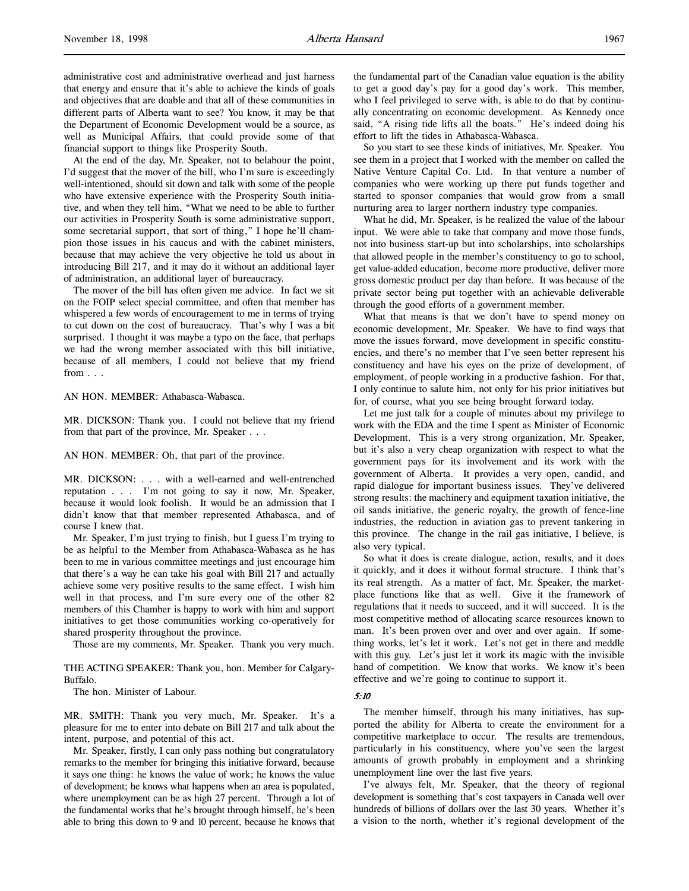administrative cost and administrative overhead and just harness that energy and ensure that it's able to achieve the kinds of goals and objectives that are doable and that all of these communities in different parts of Alberta want to see? You know, it may be that the Department of Economic Development would be a source, as well as Municipal Affairs, that could provide some of that financial support to things like Prosperity South.

At the end of the day, Mr. Speaker, not to belabour the point, I'd suggest that the mover of the bill, who I'm sure is exceedingly well-intentioned, should sit down and talk with some of the people who have extensive experience with the Prosperity South initiative, and when they tell him, "What we need to be able to further our activities in Prosperity South is some administrative support, some secretarial support, that sort of thing," I hope he'll champion those issues in his caucus and with the cabinet ministers, because that may achieve the very objective he told us about in introducing Bill 217, and it may do it without an additional layer of administration, an additional layer of bureaucracy.

The mover of the bill has often given me advice. In fact we sit on the FOIP select special committee, and often that member has whispered a few words of encouragement to me in terms of trying to cut down on the cost of bureaucracy. That's why I was a bit surprised. I thought it was maybe a typo on the face, that perhaps we had the wrong member associated with this bill initiative, because of all members, I could not believe that my friend from . . .

AN HON. MEMBER: Athabasca-Wabasca.

MR. DICKSON: Thank you. I could not believe that my friend from that part of the province, Mr. Speaker . . .

AN HON. MEMBER: Oh, that part of the province.

MR. DICKSON: . . . with a well-earned and well-entrenched reputation . . . I'm not going to say it now, Mr. Speaker, because it would look foolish. It would be an admission that I didn't know that that member represented Athabasca, and of course I knew that.

Mr. Speaker, I'm just trying to finish, but I guess I'm trying to be as helpful to the Member from Athabasca-Wabasca as he has been to me in various committee meetings and just encourage him that there's a way he can take his goal with Bill 217 and actually achieve some very positive results to the same effect. I wish him well in that process, and I'm sure every one of the other 82 members of this Chamber is happy to work with him and support initiatives to get those communities working co-operatively for shared prosperity throughout the province.

Those are my comments, Mr. Speaker. Thank you very much.

THE ACTING SPEAKER: Thank you, hon. Member for Calgary-Buffalo.

The hon. Minister of Labour.

MR. SMITH: Thank you very much, Mr. Speaker. It's a pleasure for me to enter into debate on Bill 217 and talk about the intent, purpose, and potential of this act.

Mr. Speaker, firstly, I can only pass nothing but congratulatory remarks to the member for bringing this initiative forward, because it says one thing: he knows the value of work; he knows the value of development; he knows what happens when an area is populated, where unemployment can be as high 27 percent. Through a lot of the fundamental works that he's brought through himself, he's been able to bring this down to 9 and 10 percent, because he knows that

the fundamental part of the Canadian value equation is the ability to get a good day's pay for a good day's work. This member, who I feel privileged to serve with, is able to do that by continually concentrating on economic development. As Kennedy once said, "A rising tide lifts all the boats." He's indeed doing his effort to lift the tides in Athabasca-Wabasca.

So you start to see these kinds of initiatives, Mr. Speaker. You see them in a project that I worked with the member on called the Native Venture Capital Co. Ltd. In that venture a number of companies who were working up there put funds together and started to sponsor companies that would grow from a small nurturing area to larger northern industry type companies.

What he did, Mr. Speaker, is he realized the value of the labour input. We were able to take that company and move those funds, not into business start-up but into scholarships, into scholarships that allowed people in the member's constituency to go to school, get value-added education, become more productive, deliver more gross domestic product per day than before. It was because of the private sector being put together with an achievable deliverable through the good efforts of a government member.

What that means is that we don't have to spend money on economic development, Mr. Speaker. We have to find ways that move the issues forward, move development in specific constituencies, and there's no member that I've seen better represent his constituency and have his eyes on the prize of development, of employment, of people working in a productive fashion. For that, I only continue to salute him, not only for his prior initiatives but for, of course, what you see being brought forward today.

Let me just talk for a couple of minutes about my privilege to work with the EDA and the time I spent as Minister of Economic Development. This is a very strong organization, Mr. Speaker, but it's also a very cheap organization with respect to what the government pays for its involvement and its work with the government of Alberta. It provides a very open, candid, and rapid dialogue for important business issues. They've delivered strong results: the machinery and equipment taxation initiative, the oil sands initiative, the generic royalty, the growth of fence-line industries, the reduction in aviation gas to prevent tankering in this province. The change in the rail gas initiative, I believe, is also very typical.

So what it does is create dialogue, action, results, and it does it quickly, and it does it without formal structure. I think that's its real strength. As a matter of fact, Mr. Speaker, the marketplace functions like that as well. Give it the framework of regulations that it needs to succeed, and it will succeed. It is the most competitive method of allocating scarce resources known to man. It's been proven over and over and over again. If something works, let's let it work. Let's not get in there and meddle with this guy. Let's just let it work its magic with the invisible hand of competition. We know that works. We know it's been effective and we're going to continue to support it.

#### 5:10

The member himself, through his many initiatives, has supported the ability for Alberta to create the environment for a competitive marketplace to occur. The results are tremendous, particularly in his constituency, where you've seen the largest amounts of growth probably in employment and a shrinking unemployment line over the last five years.

I've always felt, Mr. Speaker, that the theory of regional development is something that's cost taxpayers in Canada well over hundreds of billions of dollars over the last 30 years. Whether it's a vision to the north, whether it's regional development of the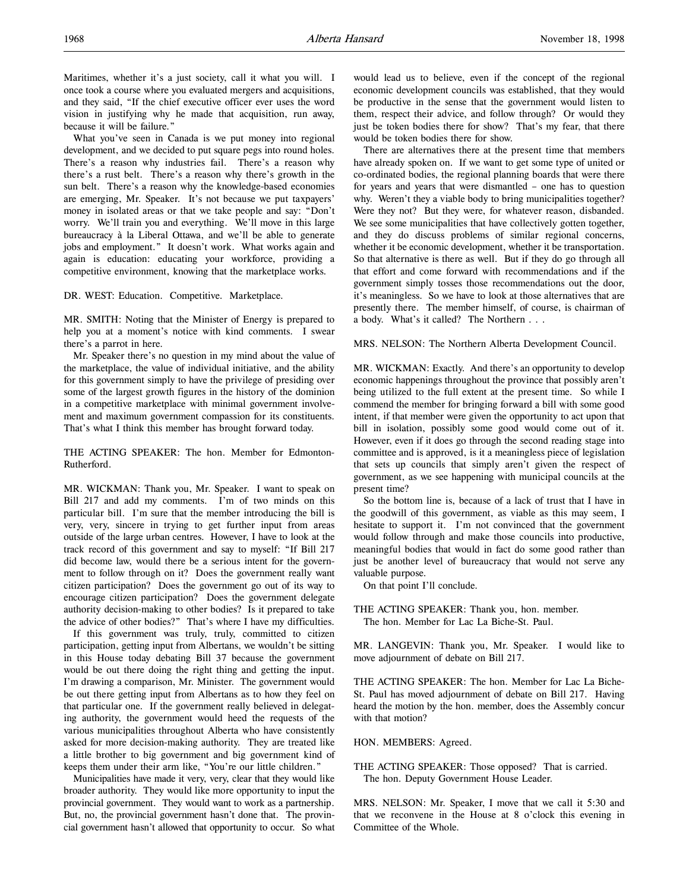Maritimes, whether it's a just society, call it what you will. I once took a course where you evaluated mergers and acquisitions, and they said, "If the chief executive officer ever uses the word vision in justifying why he made that acquisition, run away, because it will be failure."

What you've seen in Canada is we put money into regional development, and we decided to put square pegs into round holes. There's a reason why industries fail. There's a reason why there's a rust belt. There's a reason why there's growth in the sun belt. There's a reason why the knowledge-based economies are emerging, Mr. Speaker. It's not because we put taxpayers' money in isolated areas or that we take people and say: "Don't worry. We'll train you and everything. We'll move in this large bureaucracy à la Liberal Ottawa, and we'll be able to generate jobs and employment." It doesn't work. What works again and again is education: educating your workforce, providing a competitive environment, knowing that the marketplace works.

DR. WEST: Education. Competitive. Marketplace.

MR. SMITH: Noting that the Minister of Energy is prepared to help you at a moment's notice with kind comments. I swear there's a parrot in here.

Mr. Speaker there's no question in my mind about the value of the marketplace, the value of individual initiative, and the ability for this government simply to have the privilege of presiding over some of the largest growth figures in the history of the dominion in a competitive marketplace with minimal government involvement and maximum government compassion for its constituents. That's what I think this member has brought forward today.

THE ACTING SPEAKER: The hon. Member for Edmonton-Rutherford.

MR. WICKMAN: Thank you, Mr. Speaker. I want to speak on Bill 217 and add my comments. I'm of two minds on this particular bill. I'm sure that the member introducing the bill is very, very, sincere in trying to get further input from areas outside of the large urban centres. However, I have to look at the track record of this government and say to myself: "If Bill 217 did become law, would there be a serious intent for the government to follow through on it? Does the government really want citizen participation? Does the government go out of its way to encourage citizen participation? Does the government delegate authority decision-making to other bodies? Is it prepared to take the advice of other bodies?" That's where I have my difficulties.

If this government was truly, truly, committed to citizen participation, getting input from Albertans, we wouldn't be sitting in this House today debating Bill 37 because the government would be out there doing the right thing and getting the input. I'm drawing a comparison, Mr. Minister. The government would be out there getting input from Albertans as to how they feel on that particular one. If the government really believed in delegating authority, the government would heed the requests of the various municipalities throughout Alberta who have consistently asked for more decision-making authority. They are treated like a little brother to big government and big government kind of keeps them under their arm like, "You're our little children."

Municipalities have made it very, very, clear that they would like broader authority. They would like more opportunity to input the provincial government. They would want to work as a partnership. But, no, the provincial government hasn't done that. The provincial government hasn't allowed that opportunity to occur. So what

would lead us to believe, even if the concept of the regional economic development councils was established, that they would be productive in the sense that the government would listen to them, respect their advice, and follow through? Or would they just be token bodies there for show? That's my fear, that there would be token bodies there for show.

There are alternatives there at the present time that members have already spoken on. If we want to get some type of united or co-ordinated bodies, the regional planning boards that were there for years and years that were dismantled – one has to question why. Weren't they a viable body to bring municipalities together? Were they not? But they were, for whatever reason, disbanded. We see some municipalities that have collectively gotten together, and they do discuss problems of similar regional concerns, whether it be economic development, whether it be transportation. So that alternative is there as well. But if they do go through all that effort and come forward with recommendations and if the government simply tosses those recommendations out the door, it's meaningless. So we have to look at those alternatives that are presently there. The member himself, of course, is chairman of a body. What's it called? The Northern . . .

MRS. NELSON: The Northern Alberta Development Council.

MR. WICKMAN: Exactly. And there's an opportunity to develop economic happenings throughout the province that possibly aren't being utilized to the full extent at the present time. So while I commend the member for bringing forward a bill with some good intent, if that member were given the opportunity to act upon that bill in isolation, possibly some good would come out of it. However, even if it does go through the second reading stage into committee and is approved, is it a meaningless piece of legislation that sets up councils that simply aren't given the respect of government, as we see happening with municipal councils at the present time?

So the bottom line is, because of a lack of trust that I have in the goodwill of this government, as viable as this may seem, I hesitate to support it. I'm not convinced that the government would follow through and make those councils into productive, meaningful bodies that would in fact do some good rather than just be another level of bureaucracy that would not serve any valuable purpose.

On that point I'll conclude.

THE ACTING SPEAKER: Thank you, hon. member. The hon. Member for Lac La Biche-St. Paul.

MR. LANGEVIN: Thank you, Mr. Speaker. I would like to move adjournment of debate on Bill 217.

THE ACTING SPEAKER: The hon. Member for Lac La Biche-St. Paul has moved adjournment of debate on Bill 217. Having heard the motion by the hon. member, does the Assembly concur with that motion?

HON. MEMBERS: Agreed.

THE ACTING SPEAKER: Those opposed? That is carried. The hon. Deputy Government House Leader.

MRS. NELSON: Mr. Speaker, I move that we call it 5:30 and that we reconvene in the House at 8 o'clock this evening in Committee of the Whole.